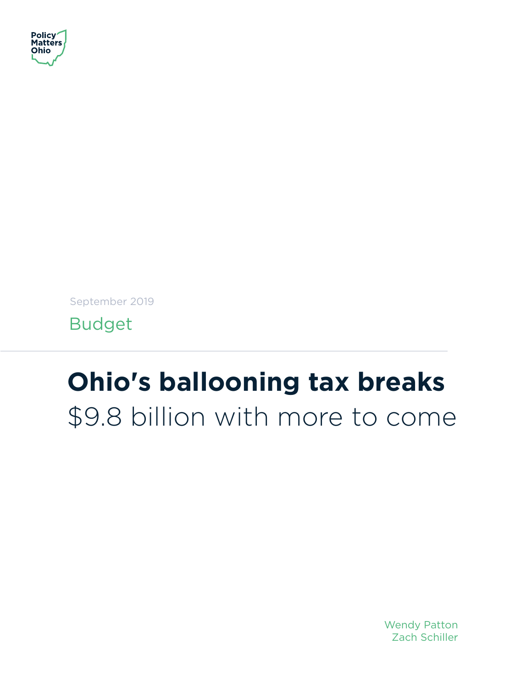

September 2019

Budget

# **Ohio's ballooning tax breaks** \$9.8 billion with more to come

Wendy Patton Zach Schiller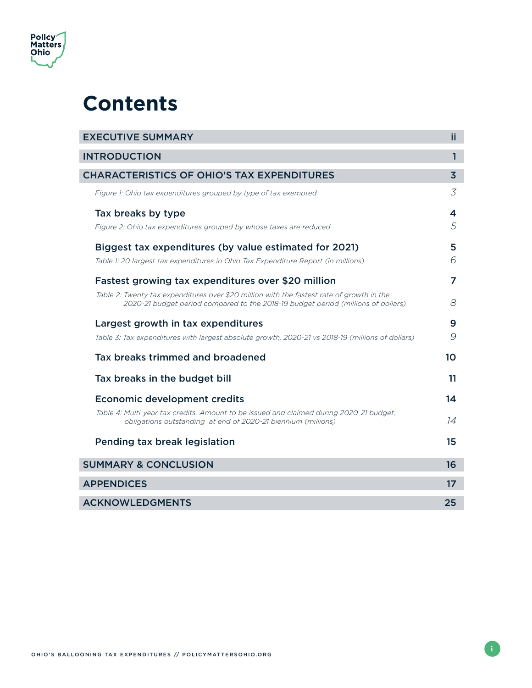

## **Contents**

| <b>EXECUTIVE SUMMARY</b>                                                                                                                                                       | ii             |
|--------------------------------------------------------------------------------------------------------------------------------------------------------------------------------|----------------|
| <b>INTRODUCTION</b>                                                                                                                                                            | $\mathbf{1}$   |
| <b>CHARACTERISTICS OF OHIO'S TAX EXPENDITURES</b>                                                                                                                              | $\overline{3}$ |
| Figure 1: Ohio tax expenditures grouped by type of tax exempted                                                                                                                | 3              |
| Tax breaks by type                                                                                                                                                             | 4              |
| Figure 2: Ohio tax expenditures grouped by whose taxes are reduced                                                                                                             | 5              |
| Biggest tax expenditures (by value estimated for 2021)                                                                                                                         | 5              |
| Table 1: 20 largest tax expenditures in Ohio Tax Expenditure Report (in millions)                                                                                              | 6              |
| Fastest growing tax expenditures over \$20 million                                                                                                                             | 7              |
| Table 2: Twenty tax expenditures over \$20 million with the fastest rate of growth in the<br>2020-21 budget period compared to the 2018-19 budget period (millions of dollars) | 8              |
| Largest growth in tax expenditures                                                                                                                                             | 9              |
| Table 3: Tax expenditures with largest absolute growth, 2020-21 vs 2018-19 (millions of dollars)                                                                               | 9              |
| Tax breaks trimmed and broadened                                                                                                                                               | 10             |
| Tax breaks in the budget bill                                                                                                                                                  | 11             |
| <b>Economic development credits</b>                                                                                                                                            | 14             |
| Table 4: Multi-year tax credits: Amount to be issued and claimed during 2020-21 budget,<br>obligations outstanding at end of 2020-21 biennium (millions)                       | 14             |
| Pending tax break legislation                                                                                                                                                  | 15             |
| <b>SUMMARY &amp; CONCLUSION</b>                                                                                                                                                | 16             |
| <b>APPENDICES</b>                                                                                                                                                              | 17             |
| <b>ACKNOWLEDGMENTS</b>                                                                                                                                                         | 25             |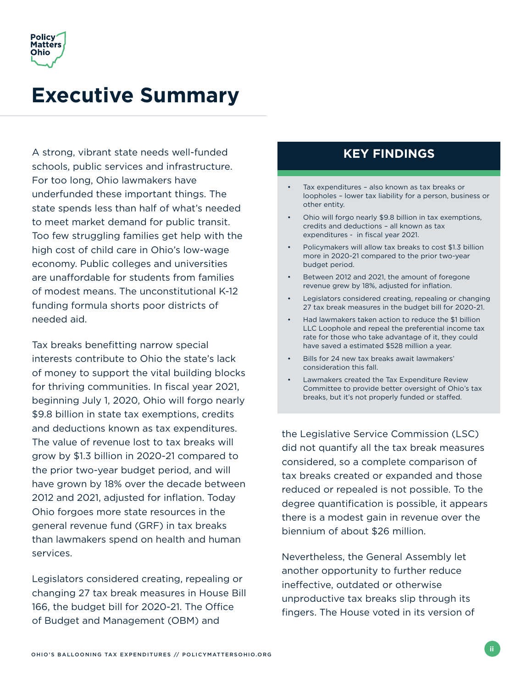<span id="page-2-0"></span>

## **Executive Summary**

A strong, vibrant state needs well-funded schools, public services and infrastructure. For too long, Ohio lawmakers have underfunded these important things. The state spends less than half of what's needed to meet market demand for public transit. Too few struggling families get help with the high cost of child care in Ohio's low-wage economy. Public colleges and universities are unaffordable for students from families of modest means. The unconstitutional K-12 funding formula shorts poor districts of needed aid.

Tax breaks benefitting narrow special interests contribute to Ohio the state's lack of money to support the vital building blocks for thriving communities. In fiscal year 2021, beginning July 1, 2020, Ohio will forgo nearly \$9.8 billion in state tax exemptions, credits and deductions known as tax expenditures. The value of revenue lost to tax breaks will grow by \$1.3 billion in 2020-21 compared to the prior two-year budget period, and will have grown by 18% over the decade between 2012 and 2021, adjusted for inflation. Today Ohio forgoes more state resources in the general revenue fund (GRF) in tax breaks than lawmakers spend on health and human services.

Legislators considered creating, repealing or changing 27 tax break measures in House Bill 166, the budget bill for 2020-21. The Office of Budget and Management (OBM) and

### **KEY FINDINGS**

- Tax expenditures also known as tax breaks or loopholes – lower tax liability for a person, business or other entity.
- Ohio will forgo nearly \$9.8 billion in tax exemptions, credits and deductions – all known as tax expenditures - in fiscal year 2021.
- Policymakers will allow tax breaks to cost \$1.3 billion more in 2020-21 compared to the prior two-year budget period.
- Between 2012 and 2021, the amount of foregone revenue grew by 18%, adjusted for inflation.
- Legislators considered creating, repealing or changing 27 tax break measures in the budget bill for 2020-21.
- Had lawmakers taken action to reduce the \$1 billion LLC Loophole and repeal the preferential income tax rate for those who take advantage of it, they could have saved a estimated \$528 million a year.
- Bills for 24 new tax breaks await lawmakers' consideration this fall.
- Lawmakers created the Tax Expenditure Review Committee to provide better oversight of Ohio's tax breaks, but it's not properly funded or staffed.

the Legislative Service Commission (LSC) did not quantify all the tax break measures considered, so a complete comparison of tax breaks created or expanded and those reduced or repealed is not possible. To the degree quantification is possible, it appears there is a modest gain in revenue over the biennium of about \$26 million.

Nevertheless, the General Assembly let another opportunity to further reduce ineffective, outdated or otherwise unproductive tax breaks slip through its fingers. The House voted in its version of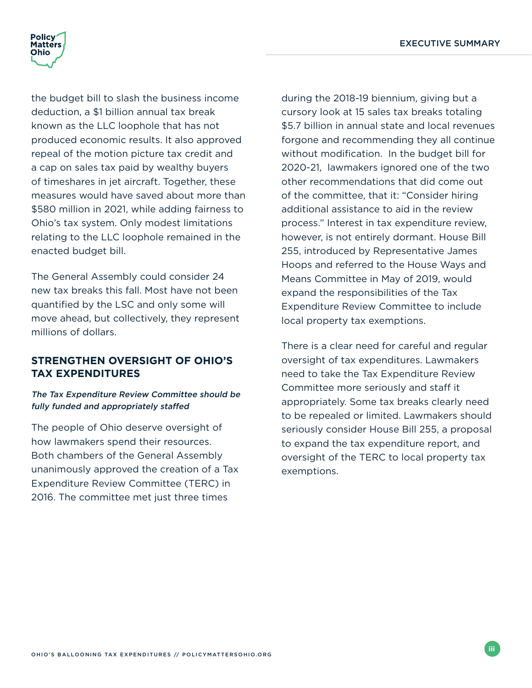

the budget bill to slash the business income deduction, a \$1 billion annual tax break known as the LLC loophole that has not produced economic results. It also approved repeal of the motion picture tax credit and a cap on sales tax paid by wealthy buyers of timeshares in jet aircraft. Together, these measures would have saved about more than \$580 million in 2021, while adding fairness to Ohio's tax system. Only modest limitations relating to the LLC loophole remained in the enacted budget bill.

The General Assembly could consider 24 new tax breaks this fall. Most have not been quantified by the LSC and only some will move ahead, but collectively, they represent millions of dollars.

#### **STRENGTHEN OVERSIGHT OF OHIO'S TAX EXPENDITURES**

#### The Tax Expenditure Review Committee should be fully funded and appropriately staffed

The people of Ohio deserve oversight of how lawmakers spend their resources. Both chambers of the General Assembly unanimously approved the creation of a Tax Expenditure Review Committee (TERC) in 2016. The committee met just three times

during the 2018-19 biennium, giving but a cursory look at 15 sales tax breaks totaling \$5.7 billion in annual state and local revenues forgone and recommending they all continue without modification. In the budget bill for 2020-21, lawmakers ignored one of the two other recommendations that did come out of the committee, that it: "Consider hiring additional assistance to aid in the review process." Interest in tax expenditure review, however, is not entirely dormant. House Bill 255, introduced by Representative James Hoops and referred to the House Ways and Means Committee in May of 2019, would expand the responsibilities of the Tax Expenditure Review Committee to include local property tax exemptions.

There is a clear need for careful and regular oversight of tax expenditures. Lawmakers need to take the Tax Expenditure Review Committee more seriously and staff it appropriately. Some tax breaks clearly need to be repealed or limited. Lawmakers should seriously consider House Bill 255, a proposal to expand the tax expenditure report, and oversight of the TERC to local property tax exemptions.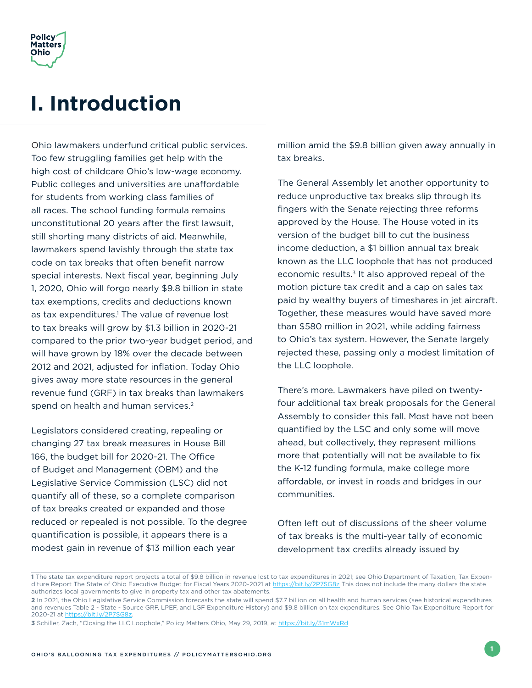<span id="page-4-0"></span>

## **I. Introduction**

Ohio lawmakers underfund critical public services. Too few struggling families get help with the high cost of childcare Ohio's low-wage economy. Public colleges and universities are unaffordable for students from working class families of all races. The school funding formula remains unconstitutional 20 years after the first lawsuit, still shorting many districts of aid. Meanwhile, lawmakers spend lavishly through the state tax code on tax breaks that often benefit narrow special interests. Next fiscal year, beginning July 1, 2020, Ohio will forgo nearly \$9.8 billion in state tax exemptions, credits and deductions known as tax expenditures.<sup>1</sup> The value of revenue lost to tax breaks will grow by \$1.3 billion in 2020-21 compared to the prior two-year budget period, and will have grown by 18% over the decade between 2012 and 2021, adjusted for inflation. Today Ohio gives away more state resources in the general revenue fund (GRF) in tax breaks than lawmakers spend on health and human services.<sup>2</sup>

Legislators considered creating, repealing or changing 27 tax break measures in House Bill 166, the budget bill for 2020-21. The Office of Budget and Management (OBM) and the Legislative Service Commission (LSC) did not quantify all of these, so a complete comparison of tax breaks created or expanded and those reduced or repealed is not possible. To the degree quantification is possible, it appears there is a modest gain in revenue of \$13 million each year

million amid the \$9.8 billion given away annually in tax breaks.

The General Assembly let another opportunity to reduce unproductive tax breaks slip through its fingers with the Senate rejecting three reforms approved by the House. The House voted in its version of the budget bill to cut the business income deduction, a \$1 billion annual tax break known as the LLC loophole that has not produced economic results.<sup>3</sup> It also approved repeal of the motion picture tax credit and a cap on sales tax paid by wealthy buyers of timeshares in jet aircraft. Together, these measures would have saved more than \$580 million in 2021, while adding fairness to Ohio's tax system. However, the Senate largely rejected these, passing only a modest limitation of the LLC loophole.

There's more. Lawmakers have piled on twentyfour additional tax break proposals for the General Assembly to consider this fall. Most have not been quantified by the LSC and only some will move ahead, but collectively, they represent millions more that potentially will not be available to fix the K-12 funding formula, make college more affordable, or invest in roads and bridges in our communities.

Often left out of discussions of the sheer volume of tax breaks is the multi-year tally of economic development tax credits already issued by

**<sup>1</sup>** The state tax expenditure report projects a total of \$9.8 billion in revenue lost to tax expenditures in 2021; see Ohio Department of Taxation, Tax Expenditure Report The State of Ohio Executive Budget for Fiscal Years 2020-2021 at<https://bit.ly/2P7SG8z> This does not include the many dollars the state authorizes local governments to give in property tax and other tax abatements.

**<sup>2</sup>** In 2021, the Ohio Legislative Service Commission forecasts the state will spend \$7.7 billion on all health and human services (see historical expenditures and revenues Table 2 - State - Source GRF, LPEF, and LGF Expenditure History) and \$9.8 billion on tax expenditures. See Ohio Tax Expenditure Report for 2020-21 at [https://bit.ly/2P7SG8z.](https://bit.ly/2P7SG8z)

**<sup>3</sup>** Schiller, Zach, "Closing the LLC Loophole," Policy Matters Ohio, May 29, 2019, at <https://bit.ly/31mWxRd>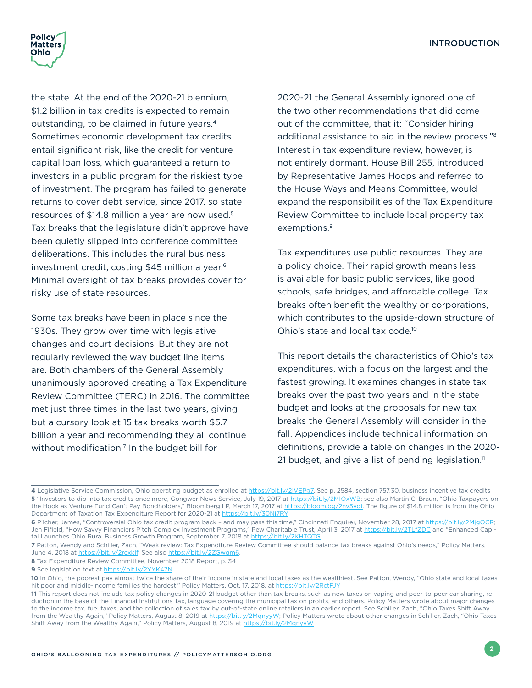

the state. At the end of the 2020-21 biennium, \$1.2 billion in tax credits is expected to remain outstanding, to be claimed in future years.4 Sometimes economic development tax credits entail significant risk, like the credit for venture capital loan loss, which guaranteed a return to investors in a public program for the riskiest type of investment. The program has failed to generate returns to cover debt service, since 2017, so state resources of \$14.8 million a year are now used.<sup>5</sup> Tax breaks that the legislature didn't approve have been quietly slipped into conference committee deliberations. This includes the rural business investment credit, costing \$45 million a year.<sup>6</sup> Minimal oversight of tax breaks provides cover for risky use of state resources.

Some tax breaks have been in place since the 1930s. They grow over time with legislative changes and court decisions. But they are not regularly reviewed the way budget line items are. Both chambers of the General Assembly unanimously approved creating a Tax Expenditure Review Committee (TERC) in 2016. The committee met just three times in the last two years, giving but a cursory look at 15 tax breaks worth \$5.7 billion a year and recommending they all continue without modification.<sup>7</sup> In the budget bill for

2020-21 the General Assembly ignored one of the two other recommendations that did come out of the committee, that it: "Consider hiring additional assistance to aid in the review process."8 Interest in tax expenditure review, however, is not entirely dormant. House Bill 255, introduced by Representative James Hoops and referred to the House Ways and Means Committee, would expand the responsibilities of the Tax Expenditure Review Committee to include local property tax exemptions.<sup>9</sup>

Tax expenditures use public resources. They are a policy choice. Their rapid growth means less is available for basic public services, like good schools, safe bridges, and affordable college. Tax breaks often benefit the wealthy or corporations, which contributes to the upside-down structure of Ohio's state and local tax code.10

This report details the characteristics of Ohio's tax expenditures, with a focus on the largest and the fastest growing. It examines changes in state tax breaks over the past two years and in the state budget and looks at the proposals for new tax breaks the General Assembly will consider in the fall. Appendices include technical information on definitions, provide a table on changes in the 2020- 21 budget, and give a list of pending legislation.<sup>11</sup>

**<sup>4</sup>** Legislative Service Commission, Ohio operating budget as enrolled at [https://bit.ly/2IVEPg7.](https://bit.ly/2IVEPg7) See p. 2584, section 757.30. business incentive tax credits 5 "Investors to dip into tax credits once more, Gongwer News Service, July 19, 2017 at <https://bit.ly/2MIOxWB>; see also Martin C. Braun, "Ohio Taxpayers on the Hook as Venture Fund Can't Pay Bondholders," Bloomberg LP, March 17, 2017 at<https://bloom.bg/2nv5yqt>. The figure of \$14.8 million is from the Ohio Department of Taxation Tax Expenditure Report for 2020-21 at <https://bit.ly/30Nj7RY>

**<sup>6</sup>** Pilcher, James, "Controversial Ohio tax credit program back – and may pass this time," Cincinnati Enquirer, November 28, 2017 at [https://bit.ly/2MjgOCR;](https://bit.ly/2MjgOCR) Jen Fifield, "How Savvy Financiers Pitch Complex Investment Programs," Pew Charitable Trust, April 3, 2017 at<https://bit.ly/2TLfZDC>and "Enhanced Capital Launches Ohio Rural Business Growth Program, September 7, 2018 at<https://bit.ly/2KHTQTG>

**<sup>7</sup>** Patton, Wendy and Schiller, Zach, "Weak review: Tax Expenditure Review Committee should balance tax breaks against Ohio's needs," Policy Matters, June 4, 2018 at https://bit.ly/2rcxklf. See also <https://bit.ly/2ZGwqm6>.

**<sup>8</sup>** Tax Expenditure Review Committee, November 2018 Report, p. 34

<sup>9</sup> See legislation text at <https://bit.ly/2YYK47N>

<sup>10</sup> In Ohio, the poorest pay almost twice the share of their income in state and local taxes as the wealthiest. See Patton, Wendy, "Ohio state and local taxes hit poor and middle-income families the hardest," Policy Matters, Oct. 17, 2018, at <https://bit.ly/2RctFJY>

**<sup>11</sup>** This report does not include tax policy changes in 2020-21 budget other than tax breaks, such as new taxes on vaping and peer-to-peer car sharing, reduction in the base of the Financial Institutions Tax, language covering the municipal tax on profits, and others. Policy Matters wrote about major changes to the income tax, fuel taxes, and the collection of sales tax by out-of-state online retailers in an earlier report. See Schiller, Zach, "Ohio Taxes Shift Away from the Wealthy Again," Policy Matters, August 8, 2019 at [https://bit.ly/2MqnyyW;](https://bit.ly/2MqnyyW) Policy Matters wrote about other changes in Schiller, Zach, "Ohio Taxes Shift Away from the Wealthy Again," Policy Matters, August 8, 2019 at<https://bit.ly/2MqnyyW>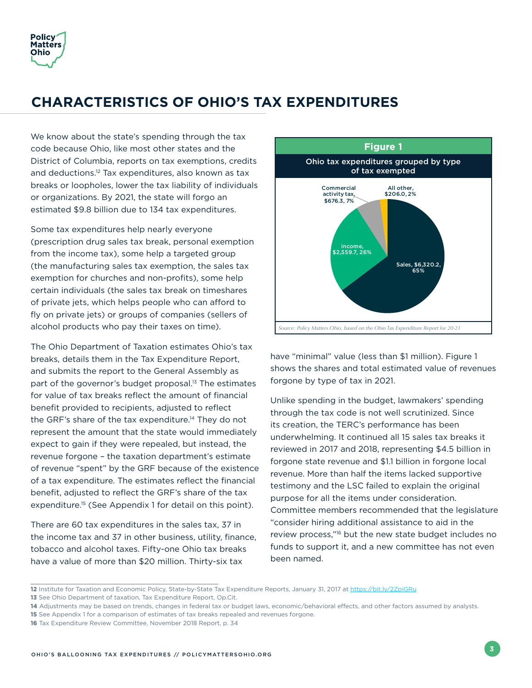<span id="page-6-0"></span>

## **CHARACTERISTICS OF OHIO'S TAX EXPENDITURES**

We know about the state's spending through the tax code because Ohio, like most other states and the District of Columbia, reports on tax exemptions, credits and deductions.12 Tax expenditures, also known as tax breaks or loopholes, lower the tax liability of individuals or organizations. By 2021, the state will forgo an estimated \$9.8 billion due to 134 tax expenditures.

Some tax expenditures help nearly everyone (prescription drug sales tax break, personal exemption from the income tax), some help a targeted group (the manufacturing sales tax exemption, the sales tax exemption for churches and non-profits), some help certain individuals (the sales tax break on timeshares of private jets, which helps people who can afford to fly on private jets) or groups of companies (sellers of alcohol products who pay their taxes on time).

The Ohio Department of Taxation estimates Ohio's tax breaks, details them in the Tax Expenditure Report, and submits the report to the General Assembly as part of the governor's budget proposal.<sup>13</sup> The estimates for value of tax breaks reflect the amount of financial benefit provided to recipients, adjusted to reflect the GRF's share of the tax expenditure.<sup>14</sup> They do not represent the amount that the state would immediately expect to gain if they were repealed, but instead, the revenue forgone – the taxation department's estimate of revenue "spent" by the GRF because of the existence of a tax expenditure. The estimates reflect the financial benefit, adjusted to reflect the GRF's share of the tax expenditure.<sup>15</sup> (See Appendix 1 for detail on this point).

There are 60 tax expenditures in the sales tax, 37 in the income tax and 37 in other business, utility, finance, tobacco and alcohol taxes. Fifty-one Ohio tax breaks have a value of more than \$20 million. Thirty-six tax



have "minimal" value (less than \$1 million). Figure 1 shows the shares and total estimated value of revenues forgone by type of tax in 2021.

Unlike spending in the budget, lawmakers' spending through the tax code is not well scrutinized. Since its creation, the TERC's performance has been underwhelming. It continued all 15 sales tax breaks it reviewed in 2017 and 2018, representing \$4.5 billion in forgone state revenue and \$1.1 billion in forgone local revenue. More than half the items lacked supportive testimony and the LSC failed to explain the original purpose for all the items under consideration. Committee members recommended that the legislature "consider hiring additional assistance to aid in the review process,"16 but the new state budget includes no funds to support it, and a new committee has not even been named.

**<sup>12</sup>** Institute for Taxation and Economic Policy, State-by-State Tax Expenditure Reports, January 31, 2017 at<https://bit.ly/2ZpiGRu>

**<sup>13</sup>** See Ohio Department of taxation, Tax Expenditure Report, Op.Cit.

**<sup>14</sup>** Adjustments may be based on trends, changes in federal tax or budget laws, economic/behavioral effects, and other factors assumed by analysts.

**<sup>15</sup>** See Appendix 1 for a comparison of estimates of tax breaks repealed and revenues forgone.

**<sup>16</sup>** Tax Expenditure Review Committee, November 2018 Report, p. 34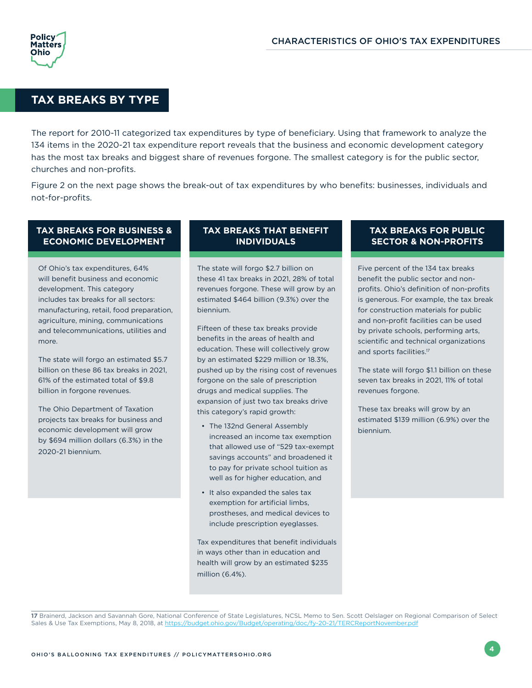<span id="page-7-0"></span>

#### **TAX BREAKS BY TYPE**

The report for 2010-11 categorized tax expenditures by type of beneficiary. Using that framework to analyze the 134 items in the 2020-21 tax expenditure report reveals that the business and economic development category has the most tax breaks and biggest share of revenues forgone. The smallest category is for the public sector, churches and non-profits.

Figure 2 on the next page shows the break-out of tax expenditures by who benefits: businesses, individuals and not-for-profits.

#### **TAX BREAKS FOR BUSINESS & ECONOMIC DEVELOPMENT**

Of Ohio's tax expenditures, 64% will benefit business and economic development. This category includes tax breaks for all sectors: manufacturing, retail, food preparation, agriculture, mining, communications and telecommunications, utilities and more.

The state will forgo an estimated \$5.7 billion on these 86 tax breaks in 2021, 61% of the estimated total of \$9.8 billion in forgone revenues.

The Ohio Department of Taxation projects tax breaks for business and economic development will grow by \$694 million dollars (6.3%) in the 2020-21 biennium.

#### **TAX BREAKS THAT BENEFIT INDIVIDUALS**

The state will forgo \$2.7 billion on these 41 tax breaks in 2021, 28% of total revenues forgone. These will grow by an estimated \$464 billion (9.3%) over the biennium.

Fifteen of these tax breaks provide benefits in the areas of health and education. These will collectively grow by an estimated \$229 million or 18.3%, pushed up by the rising cost of revenues forgone on the sale of prescription drugs and medical supplies. The expansion of just two tax breaks drive this category's rapid growth:

- The 132nd General Assembly increased an income tax exemption that allowed use of "529 tax-exempt savings accounts" and broadened it to pay for private school tuition as well as for higher education, and
- It also expanded the sales tax exemption for artificial limbs, prostheses, and medical devices to include prescription eyeglasses.

Tax expenditures that benefit individuals in ways other than in education and health will grow by an estimated \$235 million (6.4%).

#### **TAX BREAKS FOR PUBLIC SECTOR & NON-PROFITS**

Five percent of the 134 tax breaks benefit the public sector and nonprofits. Ohio's definition of non-profits is generous. For example, the tax break for construction materials for public and non-profit facilities can be used by private schools, performing arts, scientific and technical organizations and sports facilities.<sup>17</sup>

The state will forgo \$1.1 billion on these seven tax breaks in 2021, 11% of total revenues forgone.

These tax breaks will grow by an estimated \$139 million (6.9%) over the biennium.

**<sup>17</sup>** Brainerd, Jackson and Savannah Gore, National Conference of State Legislatures, NCSL Memo to Sen. Scott Oelslager on Regional Comparison of Select Sales & Use Tax Exemptions, May 8, 2018, at <https://budget.ohio.gov/Budget/operating/doc/fy-20-21/TERCReportNovember.pdf>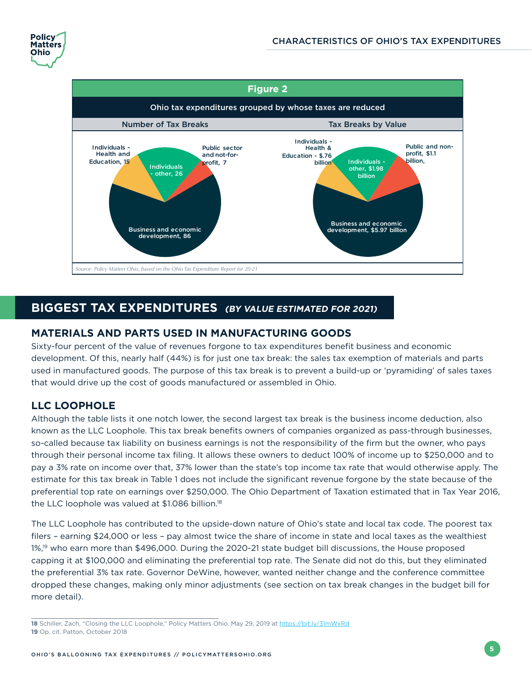<span id="page-8-0"></span>



### **BIGGEST TAX EXPENDITURES (BY VALUE ESTIMATED FOR 2021)**

#### **MATERIALS AND PARTS USED IN MANUFACTURING GOODS**

Sixty-four percent of the value of revenues forgone to tax expenditures benefit business and economic development. Of this, nearly half (44%) is for just one tax break: the sales tax exemption of materials and parts used in manufactured goods. The purpose of this tax break is to prevent a build-up or 'pyramiding' of sales taxes that would drive up the cost of goods manufactured or assembled in Ohio.

#### **LLC LOOPHOLE**

Although the table lists it one notch lower, the second largest tax break is the business income deduction, also known as the LLC Loophole. This tax break benefits owners of companies organized as pass-through businesses, so-called because tax liability on business earnings is not the responsibility of the firm but the owner, who pays through their personal income tax filing. It allows these owners to deduct 100% of income up to \$250,000 and to pay a 3% rate on income over that, 37% lower than the state's top income tax rate that would otherwise apply. The estimate for this tax break in Table 1 does not include the significant revenue forgone by the state because of the preferential top rate on earnings over \$250,000. The Ohio Department of Taxation estimated that in Tax Year 2016, the LLC loophole was valued at  $$1.086$  billion.<sup>18</sup>

The LLC Loophole has contributed to the upside-down nature of Ohio's state and local tax code. The poorest tax filers – earning \$24,000 or less – pay almost twice the share of income in state and local taxes as the wealthiest 1%,19 who earn more than \$496,000. During the 2020-21 state budget bill discussions, the House proposed capping it at \$100,000 and eliminating the preferential top rate. The Senate did not do this, but they eliminated the preferential 3% tax rate. Governor DeWine, however, wanted neither change and the conference committee dropped these changes, making only minor adjustments (see section on tax break changes in the budget bill for more detail).

**18** Schiller, Zach, "Closing the LLC Loophole," Policy Matters Ohio, May 29, 2019 at <https://bit.ly/31mWxRd> **19** Op. cit. Patton, October 2018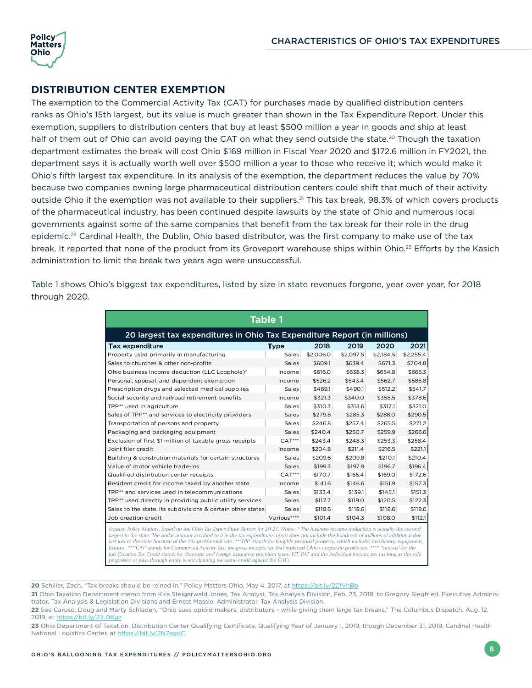<span id="page-9-0"></span>

#### **DISTRIBUTION CENTER EXEMPTION**

The exemption to the Commercial Activity Tax (CAT) for purchases made by qualified distribution centers ranks as Ohio's 15th largest, but its value is much greater than shown in the Tax Expenditure Report. Under this exemption, suppliers to distribution centers that buy at least \$500 million a year in goods and ship at least half of them out of Ohio can avoid paying the CAT on what they send outside the state.<sup>20</sup> Though the taxation department estimates the break will cost Ohio \$169 million in Fiscal Year 2020 and \$172.6 million in FY2021, the department says it is actually worth well over \$500 million a year to those who receive it; which would make it Ohio's fifth largest tax expenditure. In its analysis of the exemption, the department reduces the value by 70% because two companies owning large pharmaceutical distribution centers could shift that much of their activity outside Ohio if the exemption was not available to their suppliers.<sup>21</sup> This tax break, 98.3% of which covers products of the pharmaceutical industry, has been continued despite lawsuits by the state of Ohio and numerous local governments against some of the same companies that benefit from the tax break for their role in the drug epidemic.<sup>22</sup> Cardinal Health, the Dublin, Ohio based distributor, was the first company to make use of the tax break. It reported that none of the product from its Groveport warehouse ships within Ohio.<sup>23</sup> Efforts by the Kasich administration to limit the break two years ago were unsuccessful.

Table 1 shows Ohio's biggest tax expenditures, listed by size in state revenues forgone, year over year, for 2018 through 2020.

| <b>Table 1</b>                                                                                                                                                                                                                                                                                                                                                                                                                                                                                                                                                                                       |             |           |           |           |           |  |  |
|------------------------------------------------------------------------------------------------------------------------------------------------------------------------------------------------------------------------------------------------------------------------------------------------------------------------------------------------------------------------------------------------------------------------------------------------------------------------------------------------------------------------------------------------------------------------------------------------------|-------------|-----------|-----------|-----------|-----------|--|--|
| 20 largest tax expenditures in Ohio Tax Expenditure Report (in millions)                                                                                                                                                                                                                                                                                                                                                                                                                                                                                                                             |             |           |           |           |           |  |  |
| <b>Tax expenditure</b>                                                                                                                                                                                                                                                                                                                                                                                                                                                                                                                                                                               | Type        | 2018      | 2019      | 2020      | 2021      |  |  |
| Property used primarily in manufacturing                                                                                                                                                                                                                                                                                                                                                                                                                                                                                                                                                             | Sales       | \$2,006.0 | \$2,097.5 | \$2,184.5 | \$2,255.4 |  |  |
| Sales to churches & other non-profits                                                                                                                                                                                                                                                                                                                                                                                                                                                                                                                                                                | Sales       | \$609.1   | \$639.4   | \$671.3   | \$704.8   |  |  |
| Ohio business income deduction (LLC Loophole)*                                                                                                                                                                                                                                                                                                                                                                                                                                                                                                                                                       | Income      | \$616.0   | \$638.3   | \$654.8   | \$666.3   |  |  |
| Personal, spousal, and dependent exemption                                                                                                                                                                                                                                                                                                                                                                                                                                                                                                                                                           | Income      | \$526.2   | \$543.4   | \$562.7   | \$585.8   |  |  |
| Prescription drugs and selected medical supplies                                                                                                                                                                                                                                                                                                                                                                                                                                                                                                                                                     | Sales       | \$469.1   | \$490.1   | \$512.2   | \$541.7   |  |  |
| Social security and railroad retirement benefits                                                                                                                                                                                                                                                                                                                                                                                                                                                                                                                                                     | Income      | \$321.3   | \$340.0   | \$358.5   | \$378.6   |  |  |
| TPP** used in agriculture                                                                                                                                                                                                                                                                                                                                                                                                                                                                                                                                                                            | Sales       | \$310.3   | \$313.6   | \$317.1   | \$321.0   |  |  |
| Sales of TPP** and services to electricity providers                                                                                                                                                                                                                                                                                                                                                                                                                                                                                                                                                 | Sales       | \$279.8   | \$285.3   | \$288.0   | \$290.5   |  |  |
| Transportation of persons and property                                                                                                                                                                                                                                                                                                                                                                                                                                                                                                                                                               | Sales       | \$246.8   | \$257.4   | \$265.5   | \$271.2   |  |  |
| Packaging and packaging equipment                                                                                                                                                                                                                                                                                                                                                                                                                                                                                                                                                                    | Sales       | \$240.4   | \$250.7   | \$259.9   | \$266.6   |  |  |
| Exclusion of first \$1 million of taxable gross receipts                                                                                                                                                                                                                                                                                                                                                                                                                                                                                                                                             | $CAT***$    | \$243.4   | \$248.3   | \$253.3   | \$258.4   |  |  |
| Joint filer credit                                                                                                                                                                                                                                                                                                                                                                                                                                                                                                                                                                                   | Income      | \$204.8   | \$211.4   | \$216.5   | \$221.1   |  |  |
| Building & constrution materials for certain structures                                                                                                                                                                                                                                                                                                                                                                                                                                                                                                                                              | Sales       | \$209.6   | \$209.8   | \$210.1   | \$210.4   |  |  |
| Value of motor vehicle trade-ins                                                                                                                                                                                                                                                                                                                                                                                                                                                                                                                                                                     | Sales       | \$199.3   | \$197.9   | \$196.7   | \$196.4   |  |  |
| Qualified distribution center receipts                                                                                                                                                                                                                                                                                                                                                                                                                                                                                                                                                               | $CAT***$    | \$170.7   | \$165.4   | \$169.0   | \$172.6   |  |  |
| Resident credit for income taxed by another state                                                                                                                                                                                                                                                                                                                                                                                                                                                                                                                                                    | Income      | \$141.6   | \$146.6   | \$151.9   | \$157.3   |  |  |
| TPP** and services used in telecommunications                                                                                                                                                                                                                                                                                                                                                                                                                                                                                                                                                        | Sales       | \$133.4   | \$139.1   | \$145.1   | \$151.3   |  |  |
| TPP** used directly in providing public utility services                                                                                                                                                                                                                                                                                                                                                                                                                                                                                                                                             | Sales       | \$117.7   | \$119.0   | \$120.5   | \$122.3   |  |  |
| Sales to the state, its subdivisions & certain other states                                                                                                                                                                                                                                                                                                                                                                                                                                                                                                                                          | Sales       | \$118.6   | \$118.6   | \$118.6   | \$118.6   |  |  |
| Job creation credit                                                                                                                                                                                                                                                                                                                                                                                                                                                                                                                                                                                  | Various**** | \$101.4   | \$104.3   | \$108.0   | \$112.1   |  |  |
| Source: Policy Matters, based on the Ohio Tax Expenditure Report for 20-21. Notes: * The business income deduction is actually the second<br>largest in the state. The dollar amount ascribed to it in the tax expenditure report does not include the hundreds of millions of additional dol-<br>lars lost to the state because of the 3% preferential rate. **TPP' stands for tangible personal property, which includes machinery, equipment,<br>fixtures. ***'CAT' stands for Commercial Activity Tax, the gross receipts tax that replaced Objo's corporate profits tax, **** 'Various' for the |             |           |           |           |           |  |  |

fixtures. \*\*\*'CAT' stands for Commercial Activity Tax, the gross receipts tax that replaced Ohio's corporate profits tax. \*\*\*\* 'Various' for the<br>Job Creation Tax Credit stands for domestic and foreign insurance premium tax *proprietor or pass-through entity is not claiming the same credit against the CAT).* 

**20** Schiller, Zach, "Tax breaks should be reined in," Policy Matters Ohio, May 4, 2017, at<https://bit.ly/2ZfVhBb>

**<sup>21</sup>** Ohio Taxation Department memo from Kira Steigerwald Jones, Tax Analyst, Tax Analysis Division, Feb. 23, 2018, to Gregory Siegfried, Executive Administrator, Tax Analysis & Legislation Divisions and Ernest Massie, Administrator, Tax Analysis Division.

**<sup>22</sup>** See Caruso, Doug and Marty Schladen, "Ohio sues opioid makers, distributors – while giving them large tax breaks," The Columbus Dispatch, Aug. 12, 2019, at <https://bit.ly/31L0Kgz>

<sup>23</sup> Ohio Department of Taxation, Distribution Center Qualifying Certificate, Qualifying Year of January 1, 2019, though December 31, 2019, Cardinal Health National Logistics Center, at<https://bit.ly/2N7agqC>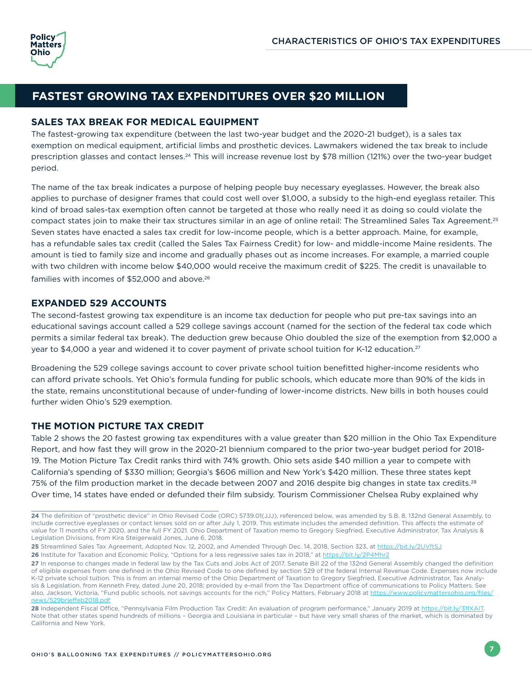<span id="page-10-0"></span>

#### **FASTEST GROWING TAX EXPENDITURES OVER \$20 MILLION**

#### **SALES TAX BREAK FOR MEDICAL EQUIPMENT**

The fastest-growing tax expenditure (between the last two-year budget and the 2020-21 budget), is a sales tax exemption on medical equipment, artificial limbs and prosthetic devices. Lawmakers widened the tax break to include prescription glasses and contact lenses.<sup>24</sup> This will increase revenue lost by \$78 million (121%) over the two-year budget period.

The name of the tax break indicates a purpose of helping people buy necessary eyeglasses. However, the break also applies to purchase of designer frames that could cost well over \$1,000, a subsidy to the high-end eyeglass retailer. This kind of broad sales-tax exemption often cannot be targeted at those who really need it as doing so could violate the compact states join to make their tax structures similar in an age of online retail: The Streamlined Sales Tax Agreement.25 Seven states have enacted a sales tax credit for low-income people, which is a better approach. Maine, for example, has a refundable sales tax credit (called the Sales Tax Fairness Credit) for low- and middle-income Maine residents. The amount is tied to family size and income and gradually phases out as income increases. For example, a married couple with two children with income below \$40,000 would receive the maximum credit of \$225. The credit is unavailable to families with incomes of \$52,000 and above.<sup>26</sup>

#### **EXPANDED 529 ACCOUNTS**

The second-fastest growing tax expenditure is an income tax deduction for people who put pre-tax savings into an educational savings account called a 529 college savings account (named for the section of the federal tax code which permits a similar federal tax break). The deduction grew because Ohio doubled the size of the exemption from \$2,000 a year to \$4,000 a year and widened it to cover payment of private school tuition for K-12 education.<sup>27</sup>

Broadening the 529 college savings account to cover private school tuition benefitted higher-income residents who can afford private schools. Yet Ohio's formula funding for public schools, which educate more than 90% of the kids in the state, remains unconstitutional because of under-funding of lower-income districts. New bills in both houses could further widen Ohio's 529 exemption.

#### **THE MOTION PICTURE TAX CREDIT**

Table 2 shows the 20 fastest growing tax expenditures with a value greater than \$20 million in the Ohio Tax Expenditure Report, and how fast they will grow in the 2020-21 biennium compared to the prior two-year budget period for 2018- 19. The Motion Picture Tax Credit ranks third with 74% growth. Ohio sets aside \$40 million a year to compete with California's spending of \$330 million; Georgia's \$606 million and New York's \$420 million. These three states kept 75% of the film production market in the decade between 2007 and 2016 despite big changes in state tax credits.<sup>28</sup> Over time, 14 states have ended or defunded their film subsidy. Tourism Commissioner Chelsea Ruby explained why

**<sup>24</sup>** The definition of "prosthetic device" in Ohio Revised Code (ORC) 5739.01(JJJ), referenced below, was amended by S.B. 8, 132nd General Assembly, to include corrective eyeglasses or contact lenses sold on or after July 1, 2019. This estimate includes the amended definition. This affects the estimate of value for 11 months of FY 2020, and the full FY 2021. Ohio Department of Taxation memo to Gregory Siegfried, Executive Administrator, Tax Analysis & Legislation Divisions, from Kira Steigerwald Jones, June 6, 2018.

**<sup>25</sup>** Streamlined Sales Tax Agreement, Adopted Nov. 12, 2002, and Amended Through Dec. 14, 2018, Section 323, at <https://bit.ly/2UVftSJ> **26** Institute for Taxation and Economic Policy, "Options for a less regressive sales tax in 2018," at <https://bit.ly/2P4Mhr2>

**<sup>27</sup>** In response to changes made in federal law by the Tax Cuts and Jobs Act of 2017, Senate Bill 22 of the 132nd General Assembly changed the definition of eligible expenses from one defined in the Ohio Revised Code to one defined by section 529 of the federal Internal Revenue Code. Expenses now include K-12 private school tuition. This is from an internal memo of the Ohio Department of Taxation to Gregory Siegfried, Executive Administrator, Tax Analysis & Legislation, from Kenneth Frey, dated June 20, 2018; provided by e-mail from the Tax Department office of communications to Policy Matters. See also, Jackson, Victoria, "Fund public schools, not savings accounts for the rich," Policy Matters, February 2018 at [https://www.policymattersohio.org/files/](https://www.policymattersohio.org/files/news/529brieffeb2018.pdf) [news/529brieffeb2018.pdf](https://www.policymattersohio.org/files/news/529brieffeb2018.pdf)

**<sup>28</sup>** Independent Fiscal Office, "Pennsylvania Film Production Tax Credit: An evaluation of program performance," January 2019 at [https://bit.ly/31fXAlT.](https://bit.ly/31fXAlT) Note that other states spend hundreds of millions – Georgia and Louisiana in particular – but have very small shares of the market, which is dominated by California and New York.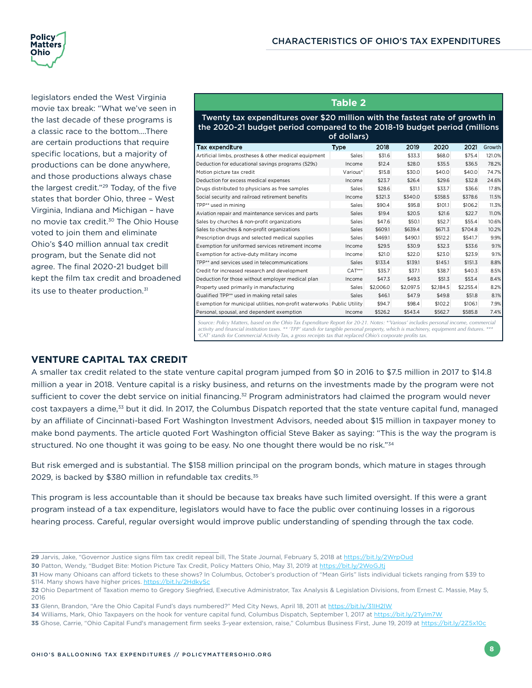<span id="page-11-0"></span>

legislators ended the West Virginia movie tax break: "What we've seen in the last decade of these programs is a classic race to the bottom….There are certain productions that require specific locations, but a majority of productions can be done anywhere, and those productions always chase the largest credit."29 Today, of the five states that border Ohio, three – West Virginia, Indiana and Michigan – have no movie tax credit.30 The Ohio House voted to join them and eliminate Ohio's \$40 million annual tax credit program, but the Senate did not agree. The final 2020-21 budget bill kept the film tax credit and broadened its use to theater production.<sup>31</sup>

#### **Table 2**

Twenty tax expenditures over \$20 million with the fastest rate of growth in the 2020-21 budget period compared to the 2018-19 budget period (millions

| of dollars)                                                             |              |           |           |           |           |        |
|-------------------------------------------------------------------------|--------------|-----------|-----------|-----------|-----------|--------|
| Tax expenditure                                                         | Type         | 2018      | 2019      | 2020      | 2021      | Growth |
| Artificial limbs, prostheses & other medical equipment                  | Sales        | \$31.6    | \$33.3    | \$68.0    | \$75.4    | 121.0% |
| Deduction for educational savings programs (529s)                       | Income       | \$12.4    | \$28.0    | \$35.5    | \$36.5    | 78.2%  |
| Motion picture tax credit                                               | Various*     | \$15.8    | \$30.0    | \$40.0    | \$40.0    | 74.7%  |
| Deduction for excess medical expenses                                   | Income       | \$23.7    | \$26.4    | \$29.6    | \$32.8    | 24.6%  |
| Drugs distributed to physicians as free samples                         | <b>Sales</b> | \$28.6    | \$31.1    | \$33.7    | \$36.6    | 17.8%  |
| Social security and railroad retirement benefits                        | Income       | \$321.3   | \$340.0   | \$358.5   | \$378.6   | 11.5%  |
| TPP** used in mining                                                    | Sales        | \$90.4    | \$95.8    | \$101.1   | \$106.2   | 11.3%  |
| Aviation repair and maintenance services and parts                      | Sales        | \$19.4    | \$20.5    | \$21.6    | \$22.7    | 11.0%  |
| Sales by churches & non-profit organizations                            | Sales        | \$47.6    | \$50.1    | \$52.7    | \$55.4    | 10.6%  |
| Sales to churches & non-profit organizations                            | Sales        | \$609.1   | \$639.4   | \$671.3   | \$704.8   | 10.2%  |
| Prescription drugs and selected medical supplies                        | <b>Sales</b> | \$469.1   | \$490.1   | \$512.2   | \$541.7   | 9.9%   |
| Exemption for uniformed services retirement income                      | Income       | \$29.5    | \$30.9    | \$32.3    | \$33.6    | 9.1%   |
| Exemption for active-duty military income                               | Income       | \$21.0    | \$22.0    | \$23.0    | \$23.9    | 9.1%   |
| TPP** and services used in telecommunications                           | Sales        | \$133.4   | \$139.1   | \$145.1   | \$151.3   | 8.8%   |
| Credit for increased research and development                           | $CAT***$     | \$35.7    | \$37.1    | \$38.7    | \$40.3    | 8.5%   |
| Deduction for those without employer medical plan                       | Income       | \$47.3    | \$49.3    | \$51.3    | \$53.4    | 8.4%   |
| Property used primarily in manufacturing                                | Sales        | \$2,006.0 | \$2,097.5 | \$2,184.5 | \$2,255.4 | 8.2%   |
| Qualified TPP** used in making retail sales                             | Sales        | \$46.1    | \$47.9    | \$49.8    | \$51.8    | 8.1%   |
| Exemption for municipal utilities, non-profit waterworks Public Utility |              | \$94.7    | \$98.4    | \$102.2   | \$106.1   | 7.9%   |
| Personal, spousal, and dependent exemption                              | Income       | \$526.2   | \$543.4   | \$562.7   | \$585.8   | 7.4%   |
|                                                                         |              |           |           |           |           |        |

Source: Policy Matters, based on the Ohio Tax Expenditure Report for 20-21. Notes: \*'Various' includes personal income, commercial<br>activity and financial institution taxes. \*\* 'TPP' stands for tangible personal property, w *'CAT' stands for Commercial Activity Tax, a gross receipts tax that replaced Ohio's corporate profits tax.*

#### **VENTURE CAPITAL TAX CREDIT**

A smaller tax credit related to the state venture capital program jumped from \$0 in 2016 to \$7.5 million in 2017 to \$14.8 million a year in 2018. Venture capital is a risky business, and returns on the investments made by the program were not sufficient to cover the debt service on initial financing.<sup>32</sup> Program administrators had claimed the program would never cost taxpayers a dime,<sup>33</sup> but it did. In 2017, the Columbus Dispatch reported that the state venture capital fund, managed by an affiliate of Cincinnati-based Fort Washington Investment Advisors, needed about \$15 million in taxpayer money to make bond payments. The article quoted Fort Washington official Steve Baker as saying: "This is the way the program is structured. No one thought it was going to be easy. No one thought there would be no risk."<sup>34</sup>

But risk emerged and is substantial. The \$158 million principal on the program bonds, which mature in stages through 2029, is backed by \$380 million in refundable tax credits.<sup>35</sup>

This program is less accountable than it should be because tax breaks have such limited oversight. If this were a grant program instead of a tax expenditure, legislators would have to face the public over continuing losses in a rigorous hearing process. Careful, regular oversight would improve public understanding of spending through the tax code.

**<sup>29</sup>** Jarvis, Jake, "Governor Justice signs film tax credit repeal bill, The State Journal, February 5, 2018 at <https://bit.ly/2WrpOud>

**<sup>30</sup>** Patton, Wendy, "Budget Bite: Motion Picture Tax Credit, Policy Matters Ohio, May 31, 2019 at <https://bit.ly/2WoGJtj>

**<sup>31</sup>** How many Ohioans can afford tickets to these shows? In Columbus, October's production of "Mean Girls" lists individual tickets ranging from \$39 to \$114. Many shows have higher prices.<https://bit.ly/2HdkySc>

**<sup>32</sup>** Ohio Department of Taxation memo to Gregory Siegfried, Executive Administrator, Tax Analysis & Legislation Divisions, from Ernest C. Massie, May 5, 2016

**<sup>33</sup>** Glenn, Brandon, "Are the Ohio Capital Fund's days numbered?" Med City News, April 18, 2011 at <https://bit.ly/31IH2lW>

**<sup>34</sup>** Williams, Mark, Ohio Taxpayers on the hook for venture capital fund, Columbus Dispatch, September 1, 2017 at <https://bit.ly/2TyIm7W>

**<sup>35</sup>** Ghose, Carrie, "Ohio Capital Fund's management firm seeks 3-year extension, raise," Columbus Business First, June 19, 2019 at<https://bit.ly/2Z5x10c>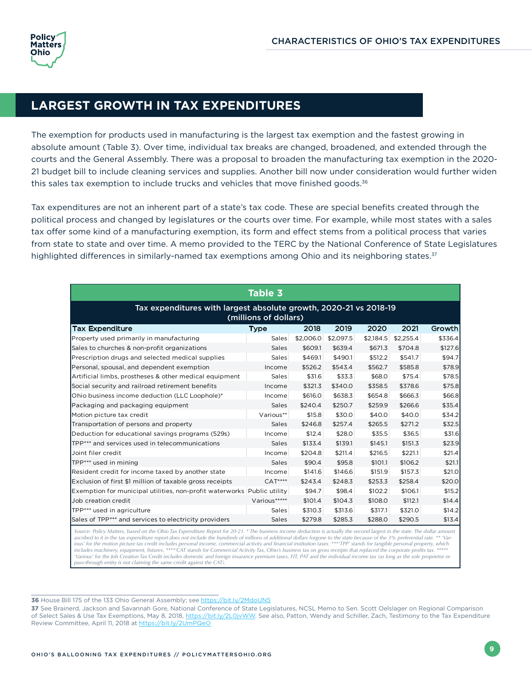## <span id="page-12-0"></span>**LARGEST GROWTH IN TAX EXPENDITURES**

The exemption for products used in manufacturing is the largest tax exemption and the fastest growing in absolute amount (Table 3). Over time, individual tax breaks are changed, broadened, and extended through the courts and the General Assembly. There was a proposal to broaden the manufacturing tax exemption in the 2020- 21 budget bill to include cleaning services and supplies. Another bill now under consideration would further widen this sales tax exemption to include trucks and vehicles that move finished goods.<sup>36</sup>

Tax expenditures are not an inherent part of a state's tax code. These are special benefits created through the political process and changed by legislatures or the courts over time. For example, while most states with a sales tax offer some kind of a manufacturing exemption, its form and effect stems from a political process that varies from state to state and over time. A memo provided to the TERC by the National Conference of State Legislatures highlighted differences in similarly-named tax exemptions among Ohio and its neighboring states.<sup>37</sup>

| <b>Table 3</b>                                                                                                                                                                                                                                                                                                                                              |              |           |           |           |           |         |
|-------------------------------------------------------------------------------------------------------------------------------------------------------------------------------------------------------------------------------------------------------------------------------------------------------------------------------------------------------------|--------------|-----------|-----------|-----------|-----------|---------|
| Tax expenditures with largest absolute growth, 2020-21 vs 2018-19<br>(millions of dollars)                                                                                                                                                                                                                                                                  |              |           |           |           |           |         |
| <b>Tax Expenditure</b>                                                                                                                                                                                                                                                                                                                                      | <b>Type</b>  | 2018      | 2019      | 2020      | 2021      | Growth  |
| Property used primarily in manufacturing                                                                                                                                                                                                                                                                                                                    | Sales        | \$2,006.0 | \$2,097.5 | \$2,184.5 | \$2,255.4 | \$336.4 |
| Sales to churches & non-profit organizations                                                                                                                                                                                                                                                                                                                | Sales        | \$609.1   | \$639.4   | \$671.3   | \$704.8   | \$127.6 |
| Prescription drugs and selected medical supplies                                                                                                                                                                                                                                                                                                            | Sales        | \$469.1   | \$490.1   | \$512.2   | \$541.7   | \$94.7  |
| Personal, spousal, and dependent exemption                                                                                                                                                                                                                                                                                                                  | Income       | \$526.2   | \$543.4   | \$562.7   | \$585.8   | \$78.9  |
| Artificial limbs, prostheses & other medical equipment                                                                                                                                                                                                                                                                                                      | Sales        | \$31.6    | \$33.3    | \$68.0    | \$75.4    | \$78.5  |
| Social security and railroad retirement benefits                                                                                                                                                                                                                                                                                                            | Income       | \$321.3   | \$340.0   | \$358.5   | \$378.6   | \$75.8  |
| Ohio business income deduction (LLC Loophole)*                                                                                                                                                                                                                                                                                                              | Income       | \$616.0   | \$638.3   | \$654.8   | \$666.3   | \$66.8  |
| Packaging and packaging equipment                                                                                                                                                                                                                                                                                                                           | Sales        | \$240.4   | \$250.7   | \$259.9   | \$266.6   | \$35.4  |
| Motion picture tax credit                                                                                                                                                                                                                                                                                                                                   | Various**    | \$15.8    | \$30.0    | \$40.0    | \$40.0    | \$34.2  |
| Transportation of persons and property                                                                                                                                                                                                                                                                                                                      | Sales        | \$246.8   | \$257.4   | \$265.5   | \$271.2   | \$32.5  |
| Deduction for educational savings programs (529s)                                                                                                                                                                                                                                                                                                           | Income       | \$12.4    | \$28.0    | \$35.5    | \$36.5    | \$31.6  |
| TPP*** and services used in telecommunications                                                                                                                                                                                                                                                                                                              | Sales        | \$133.4   | \$139.1   | \$145.1   | \$151.3   | \$23.9  |
| Joint filer credit                                                                                                                                                                                                                                                                                                                                          | Income       | \$204.8   | \$211.4   | \$216.5   | \$221.1   | \$21.4  |
| TPP*** used in mining                                                                                                                                                                                                                                                                                                                                       | Sales        | \$90.4    | \$95.8    | \$101.1   | \$106.2   | \$21.1  |
| Resident credit for income taxed by another state                                                                                                                                                                                                                                                                                                           | Income       | \$141.6   | \$146.6   | \$151.9   | \$157.3   | \$21.0  |
| Exclusion of first \$1 million of taxable gross receipts                                                                                                                                                                                                                                                                                                    | $CAT***$     | \$243.4   | \$248.3   | \$253.3   | \$258.4   | \$20.0  |
| Exemption for municipal utilities, non-profit waterworks Public utility                                                                                                                                                                                                                                                                                     |              | \$94.7    | \$98.4    | \$102.2   | \$106.1   | \$15.2  |
| Job creation credit                                                                                                                                                                                                                                                                                                                                         | Various***** | \$101.4   | \$104.3   | \$108.0   | \$112.1   | \$14.4  |
| TPP*** used in agriculture                                                                                                                                                                                                                                                                                                                                  | Sales        | \$310.3   | \$313.6   | \$317.1   | \$321.0   | \$14.2  |
| Sales of TPP*** and services to electricity providers                                                                                                                                                                                                                                                                                                       | Sales        | \$279.8   | \$285.3   | \$288.0   | \$290.5   | \$13.4  |
| Source: Policy Matters, based on the Ohio Tax Expenditure Report for 20-21. * The business income deduction is actually the second largest in the state. The dollar amount<br>ascribed to it in the tax expenditure report does not include the bundreds of millions of additional dollars forgone to the state because of the 3% preferential rate ** Var- |              |           |           |           |           |         |

ascribed to it in the tax expenditure report does not include the hundreds of millions of additional dollars forgone to the state because of the 3% preferential rate, \*\* "Var-<br>ious' for the motion picture tax credit includ *'Various' for the Job Creation Tax Credit includes domestic and foreign insurance premium taxes, FIT, PAT and the individual income tax (as long as the sole proprietor or pass-through entity is not claiming the same credit against the CAT).*

**36** House Bill 175 of the 133 Ohio General Assembly; see<https://bit.ly/2MdoUN5>

**37** See Brainerd, Jackson and Savannah Gore, National Conference of State Legislatures, NCSL Memo to Sen. Scott Oelslager on Regional Comparison of Select Sales & Use Tax Exemptions, May 8, 2018, [https://bit.ly/2L0jvWW.](https://bit.ly/2L0jvWW) See also, Patton, Wendy and Schiller, Zach, Testimony to the Tax Expenditure Review Committee, April 11, 2018 at<https://bit.ly/2UmPQeO>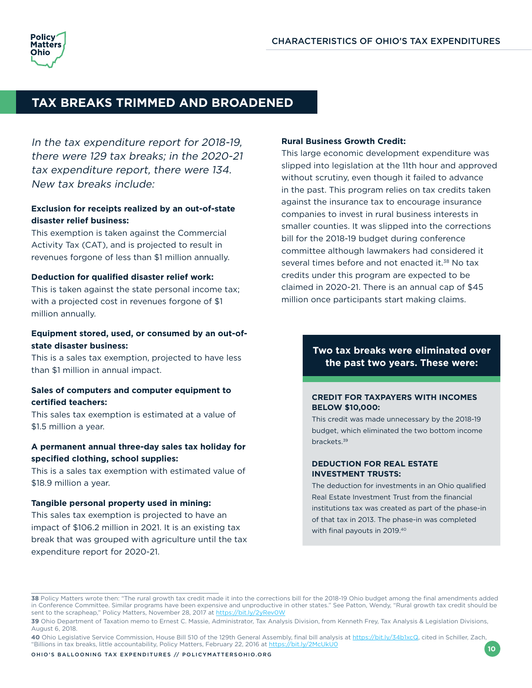## <span id="page-13-0"></span>**TAX BREAKS TRIMMED AND BROADENED**

In the tax expenditure report for 2018-19, there were 129 tax breaks; in the 2020-21 tax expenditure report, there were 134. New tax breaks include:

#### **Exclusion for receipts realized by an out-of-state disaster relief business:**

This exemption is taken against the Commercial Activity Tax (CAT), and is projected to result in revenues forgone of less than \$1 million annually.

#### **Deduction for qualified disaster relief work:**

This is taken against the state personal income tax; with a projected cost in revenues forgone of \$1 million annually.

#### **Equipment stored, used, or consumed by an out-ofstate disaster business:**

This is a sales tax exemption, projected to have less than \$1 million in annual impact.

#### **Sales of computers and computer equipment to certified teachers:**

This sales tax exemption is estimated at a value of \$1.5 million a year.

#### **A permanent annual three-day sales tax holiday for specified clothing, school supplies:**

This is a sales tax exemption with estimated value of \$18.9 million a year.

#### **Tangible personal property used in mining:**

This sales tax exemption is projected to have an impact of \$106.2 million in 2021. It is an existing tax break that was grouped with agriculture until the tax expenditure report for 2020-21.

#### **Rural Business Growth Credit:**

This large economic development expenditure was slipped into legislation at the 11th hour and approved without scrutiny, even though it failed to advance in the past. This program relies on tax credits taken against the insurance tax to encourage insurance companies to invest in rural business interests in smaller counties. It was slipped into the corrections bill for the 2018-19 budget during conference committee although lawmakers had considered it several times before and not enacted it.<sup>38</sup> No tax credits under this program are expected to be claimed in 2020-21. There is an annual cap of \$45 million once participants start making claims.

#### **Two tax breaks were eliminated over the past two years. These were:**

#### **CREDIT FOR TAXPAYERS WITH INCOMES BELOW \$10,000:**

This credit was made unnecessary by the 2018-19 budget, which eliminated the two bottom income brackets.39

#### **DEDUCTION FOR REAL ESTATE INVESTMENT TRUSTS:**

The deduction for investments in an Ohio qualified Real Estate Investment Trust from the financial institutions tax was created as part of the phase-in of that tax in 2013. The phase-in was completed with final payouts in 2019.40

**<sup>38</sup>** Policy Matters wrote then: "The rural growth tax credit made it into the corrections bill for the 2018-19 Ohio budget among the final amendments added in Conference Committee. Similar programs have been expensive and unproductive in other states." See Patton, Wendy, "Rural growth tax credit should be sent to the scrapheap," Policy Matters, November 28, 2017 at <https://bit.ly/2yRev0W>

**<sup>39</sup>** Ohio Department of Taxation memo to Ernest C. Massie, Administrator, Tax Analysis Division, from Kenneth Frey, Tax Analysis & Legislation Divisions, August 6, 2018.

**<sup>40</sup>** Ohio Legislative Service Commission, House Bill 510 of the 129th General Assembly, final bill analysis at [https://bit.ly/34b1xcQ,](https://bit.ly/34b1xcQ) cited in Schiller, Zach, "Billions in tax breaks, little accountability, Policy Matters, February 22, 2016 at <https://bit.ly/2McUkU0>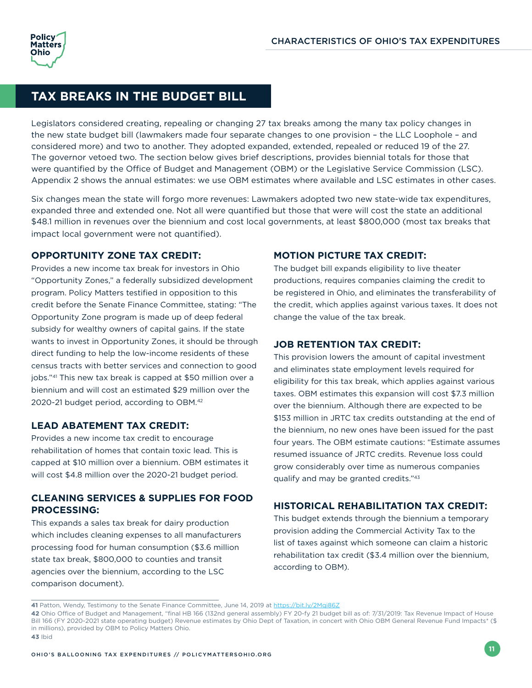## <span id="page-14-0"></span>**TAX BREAKS IN THE BUDGET BILL**

Legislators considered creating, repealing or changing 27 tax breaks among the many tax policy changes in the new state budget bill (lawmakers made four separate changes to one provision – the LLC Loophole – and considered more) and two to another. They adopted expanded, extended, repealed or reduced 19 of the 27. The governor vetoed two. The section below gives brief descriptions, provides biennial totals for those that were quantified by the Office of Budget and Management (OBM) or the Legislative Service Commission (LSC). Appendix 2 shows the annual estimates: we use OBM estimates where available and LSC estimates in other cases.

Six changes mean the state will forgo more revenues: Lawmakers adopted two new state-wide tax expenditures, expanded three and extended one. Not all were quantified but those that were will cost the state an additional \$48.1 million in revenues over the biennium and cost local governments, at least \$800,000 (most tax breaks that impact local government were not quantified).

#### **OPPORTUNITY ZONE TAX CREDIT:**

Provides a new income tax break for investors in Ohio "Opportunity Zones," a federally subsidized development program. Policy Matters testified in opposition to this credit before the Senate Finance Committee, stating: "The Opportunity Zone program is made up of deep federal subsidy for wealthy owners of capital gains. If the state wants to invest in Opportunity Zones, it should be through direct funding to help the low-income residents of these census tracts with better services and connection to good jobs."41 This new tax break is capped at \$50 million over a biennium and will cost an estimated \$29 million over the 2020-21 budget period, according to OBM.42

#### **LEAD ABATEMENT TAX CREDIT:**

Provides a new income tax credit to encourage rehabilitation of homes that contain toxic lead. This is capped at \$10 million over a biennium. OBM estimates it will cost \$4.8 million over the 2020-21 budget period.

#### **CLEANING SERVICES & SUPPLIES FOR FOOD PROCESSING:**

This expands a sales tax break for dairy production which includes cleaning expenses to all manufacturers processing food for human consumption (\$3.6 million state tax break, \$800,000 to counties and transit agencies over the biennium, according to the LSC comparison document).

#### **MOTION PICTURE TAX CREDIT:**

The budget bill expands eligibility to live theater productions, requires companies claiming the credit to be registered in Ohio, and eliminates the transferability of the credit, which applies against various taxes. It does not change the value of the tax break.

#### **JOB RETENTION TAX CREDIT:**

This provision lowers the amount of capital investment and eliminates state employment levels required for eligibility for this tax break, which applies against various taxes. OBM estimates this expansion will cost \$7.3 million over the biennium. Although there are expected to be \$153 million in JRTC tax credits outstanding at the end of the biennium, no new ones have been issued for the past four years. The OBM estimate cautions: "Estimate assumes resumed issuance of JRTC credits. Revenue loss could grow considerably over time as numerous companies qualify and may be granted credits."43

#### **HISTORICAL REHABILITATION TAX CREDIT:**

This budget extends through the biennium a temporary provision adding the Commercial Activity Tax to the list of taxes against which someone can claim a historic rehabilitation tax credit (\$3.4 million over the biennium, according to OBM).

**<sup>41</sup>** Patton, Wendy, Testimony to the Senate Finance Committee, June 14, 2019 at<https://bit.ly/2Mqi86Z>

**<sup>42</sup>** Ohio Office of Budget and Management, "final HB 166 (132nd general assembly) FY 20-fy 21 budget bill as of: 7/31/2019: Tax Revenue Impact of House Bill 166 (FY 2020-2021 state operating budget) Revenue estimates by Ohio Dept of Taxation, in concert with Ohio OBM General Revenue Fund Impacts\* (\$ in millions), provided by OBM to Policy Matters Ohio.

**<sup>43</sup>** Ibid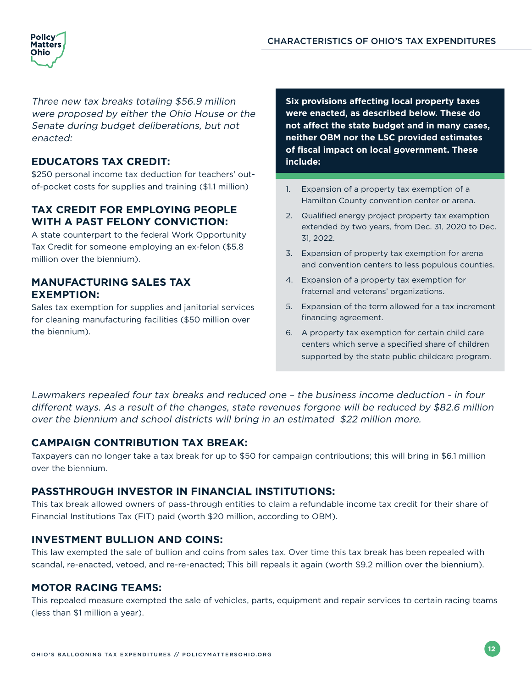

Three new tax breaks totaling \$56.9 million were proposed by either the Ohio House or the Senate during budget deliberations, but not enacted:

#### **EDUCATORS TAX CREDIT:**

\$250 personal income tax deduction for teachers' outof-pocket costs for supplies and training (\$1.1 million)

#### **TAX CREDIT FOR EMPLOYING PEOPLE WITH A PAST FELONY CONVICTION:**

A state counterpart to the federal Work Opportunity Tax Credit for someone employing an ex-felon (\$5.8 million over the biennium).

#### **MANUFACTURING SALES TAX EXEMPTION:**

Sales tax exemption for supplies and janitorial services for cleaning manufacturing facilities (\$50 million over the biennium).

**Six provisions affecting local property taxes were enacted, as described below. These do not affect the state budget and in many cases, neither OBM nor the LSC provided estimates of fiscal impact on local government. These include:**

- 1. Expansion of a property tax exemption of a Hamilton County convention center or arena.
- 2. Qualified energy project property tax exemption extended by two years, from Dec. 31, 2020 to Dec. 31, 2022.
- 3. Expansion of property tax exemption for arena and convention centers to less populous counties.
- 4. Expansion of a property tax exemption for fraternal and veterans' organizations.
- 5. Expansion of the term allowed for a tax increment financing agreement.
- 6. A property tax exemption for certain child care centers which serve a specified share of children supported by the state public childcare program.

Lawmakers repealed four tax breaks and reduced one – the business income deduction - in four different ways. As a result of the changes, state revenues forgone will be reduced by \$82.6 million over the biennium and school districts will bring in an estimated \$22 million more.

#### **CAMPAIGN CONTRIBUTION TAX BREAK:**

Taxpayers can no longer take a tax break for up to \$50 for campaign contributions; this will bring in \$6.1 million over the biennium.

#### **PASSTHROUGH INVESTOR IN FINANCIAL INSTITUTIONS:**

This tax break allowed owners of pass-through entities to claim a refundable income tax credit for their share of Financial Institutions Tax (FIT) paid (worth \$20 million, according to OBM).

#### **INVESTMENT BULLION AND COINS:**

This law exempted the sale of bullion and coins from sales tax. Over time this tax break has been repealed with scandal, re-enacted, vetoed, and re-re-enacted; This bill repeals it again (worth \$9.2 million over the biennium).

#### **MOTOR RACING TEAMS:**

This repealed measure exempted the sale of vehicles, parts, equipment and repair services to certain racing teams (less than \$1 million a year).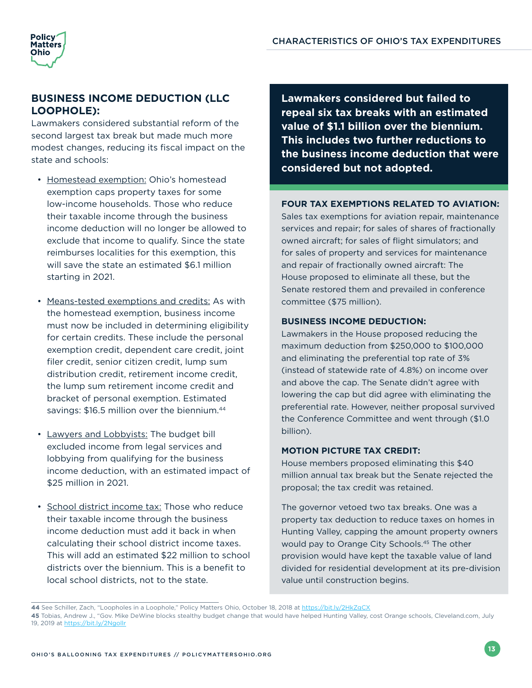

#### **BUSINESS INCOME DEDUCTION (LLC LOOPHOLE):**

Lawmakers considered substantial reform of the second largest tax break but made much more modest changes, reducing its fiscal impact on the state and schools:

- Homestead exemption: Ohio's homestead exemption caps property taxes for some low-income households. Those who reduce their taxable income through the business income deduction will no longer be allowed to exclude that income to qualify. Since the state reimburses localities for this exemption, this will save the state an estimated \$6.1 million starting in 2021.
- Means-tested exemptions and credits: As with the homestead exemption, business income must now be included in determining eligibility for certain credits. These include the personal exemption credit, dependent care credit, joint filer credit, senior citizen credit, lump sum distribution credit, retirement income credit, the lump sum retirement income credit and bracket of personal exemption. Estimated savings: \$16.5 million over the biennium.<sup>44</sup>
- Lawyers and Lobbyists: The budget bill excluded income from legal services and lobbying from qualifying for the business income deduction, with an estimated impact of \$25 million in 2021.
- School district income tax: Those who reduce their taxable income through the business income deduction must add it back in when calculating their school district income taxes. This will add an estimated \$22 million to school districts over the biennium. This is a benefit to local school districts, not to the state.

**Lawmakers considered but failed to repeal six tax breaks with an estimated value of \$1.1 billion over the biennium. This includes two further reductions to the business income deduction that were considered but not adopted.**

#### **FOUR TAX EXEMPTIONS RELATED TO AVIATION:**

Sales tax exemptions for aviation repair, maintenance services and repair; for sales of shares of fractionally owned aircraft; for sales of flight simulators; and for sales of property and services for maintenance and repair of fractionally owned aircraft: The House proposed to eliminate all these, but the Senate restored them and prevailed in conference committee (\$75 million).

#### **BUSINESS INCOME DEDUCTION:**

Lawmakers in the House proposed reducing the maximum deduction from \$250,000 to \$100,000 and eliminating the preferential top rate of 3% (instead of statewide rate of 4.8%) on income over and above the cap. The Senate didn't agree with lowering the cap but did agree with eliminating the preferential rate. However, neither proposal survived the Conference Committee and went through (\$1.0 billion).

#### **MOTION PICTURE TAX CREDIT:**

House members proposed eliminating this \$40 million annual tax break but the Senate rejected the proposal; the tax credit was retained.

The governor vetoed two tax breaks. One was a property tax deduction to reduce taxes on homes in Hunting Valley, capping the amount property owners would pay to Orange City Schools.<sup>45</sup> The other provision would have kept the taxable value of land divided for residential development at its pre-division value until construction begins.

**<sup>44</sup>** See Schiller, Zach, "Loopholes in a Loophole," Policy Matters Ohio, October 18, 2018 at <https://bit.ly/2HkZgCX>

**<sup>45</sup>** Tobias, Andrew J., "Gov. Mike DeWine blocks stealthy budget change that would have helped Hunting Valley, cost Orange schools, Cleveland.com, July 19, 2019 at<https://bit.ly/2Ngollr>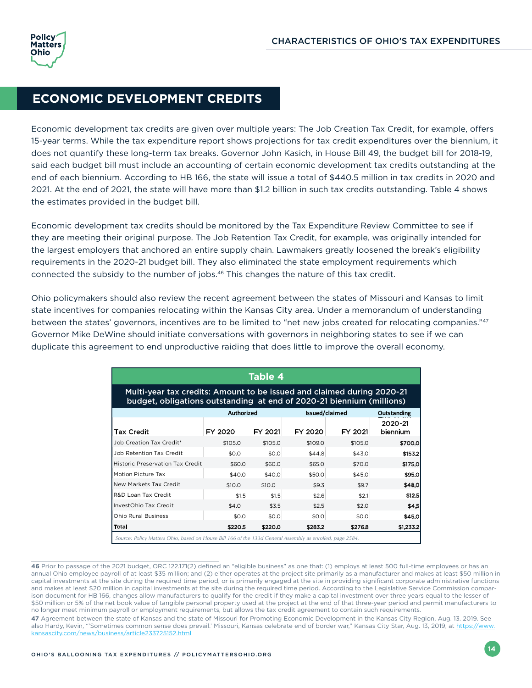### <span id="page-17-0"></span>**ECONOMIC DEVELOPMENT CREDITS**

Economic development tax credits are given over multiple years: The Job Creation Tax Credit, for example, offers 15-year terms. While the tax expenditure report shows projections for tax credit expenditures over the biennium, it does not quantify these long-term tax breaks. Governor John Kasich, in House Bill 49, the budget bill for 2018-19, said each budget bill must include an accounting of certain economic development tax credits outstanding at the end of each biennium. According to HB 166, the state will issue a total of \$440.5 million in tax credits in 2020 and 2021. At the end of 2021, the state will have more than \$1.2 billion in such tax credits outstanding. Table 4 shows the estimates provided in the budget bill.

Economic development tax credits should be monitored by the Tax Expenditure Review Committee to see if they are meeting their original purpose. The Job Retention Tax Credit, for example, was originally intended for the largest employers that anchored an entire supply chain. Lawmakers greatly loosened the break's eligibility requirements in the 2020-21 budget bill. They also eliminated the state employment requirements which connected the subsidy to the number of jobs.<sup>46</sup> This changes the nature of this tax credit.

Ohio policymakers should also review the recent agreement between the states of Missouri and Kansas to limit state incentives for companies relocating within the Kansas City area. Under a memorandum of understanding between the states' governors, incentives are to be limited to "net new jobs created for relocating companies."47 Governor Mike DeWine should initiate conversations with governors in neighboring states to see if we can duplicate this agreement to end unproductive raiding that does little to improve the overall economy.

| <b>Table 4</b>                                                                                                                                  |                   |         |                |             |                     |  |
|-------------------------------------------------------------------------------------------------------------------------------------------------|-------------------|---------|----------------|-------------|---------------------|--|
| Multi-year tax credits: Amount to be issued and claimed during 2020-21<br>budget, obligations outstanding at end of 2020-21 biennium (millions) |                   |         |                |             |                     |  |
|                                                                                                                                                 | <b>Authorized</b> |         | Issued/claimed | Outstanding |                     |  |
| Tax Credit                                                                                                                                      | FY 2020           | FY 2021 | FY 2020        | FY 2021     | 2020-21<br>biennium |  |
| Job Creation Tax Credit*                                                                                                                        | \$105.0           | \$105.0 | \$109.0        | \$105.0     | \$700.0             |  |
| Job Retention Tax Credit                                                                                                                        | \$0.0             | \$0.0   | \$44.8         | \$43.0      | \$153.2             |  |
| <b>Historic Preservation Tax Credit</b>                                                                                                         | \$60.0            | \$60.0  | \$65.0         | \$70.0      | \$175.0             |  |
| Motion Picture Tax                                                                                                                              | \$40.0            | \$40.0  | \$50.0         | \$45.0      | \$95.0              |  |
| New Markets Tax Credit                                                                                                                          | \$10.0            | \$10.0  | \$9.3          | \$9.7       | \$48.0              |  |
| R&D Loan Tax Credit                                                                                                                             | \$1.5             | \$1.5   | \$2.6          | \$2.1       | \$12.5              |  |
| InvestOhio Tax Credit                                                                                                                           | \$4.0             | \$3.5   | \$2.5          | \$2.0       | \$4.5               |  |
| <b>Ohio Rural Business</b>                                                                                                                      | \$0.0             | \$0.0   | \$0.0          | \$0.0       | \$45.0              |  |
| Total                                                                                                                                           | \$220.5           | \$220.0 | \$283.2        | \$276.8     | \$1,233.2           |  |

46 Prior to passage of the 2021 budget, ORC 122.171(2) defined an "eligible business" as one that: (1) employs at least 500 full-time employees or has an annual Ohio employee payroll of at least \$35 million; and (2) either operates at the project site primarily as a manufacturer and makes at least \$50 million in capital investments at the site during the required time period, or is primarily engaged at the site in providing significant corporate administrative functions and makes at least \$20 million in capital investments at the site during the required time period. According to the Legislative Service Commission comparison document for HB 166, changes allow manufacturers to qualify for the credit if they make a capital investment over three years equal to the lesser of \$50 million or 5% of the net book value of tangible personal property used at the project at the end of that three-year period and permit manufacturers to no longer meet minimum payroll or employment requirements, but allows the tax credit agreement to contain such requirements.

**<sup>47</sup>** Agreement between the state of Kansas and the state of Missouri for Promoting Economic Development in the Kansas City Region, Aug. 13. 2019. See also Hardy, Kevin, "'Sometimes common sense does prevail.' Missouri, Kansas celebrate end of border war," Kansas City Star, Aug. 13, 2019, at [https://www.](https://www.kansascity.com/news/business/article233725152.html) [kansascity.com/news/business/article233725152.html](https://www.kansascity.com/news/business/article233725152.html)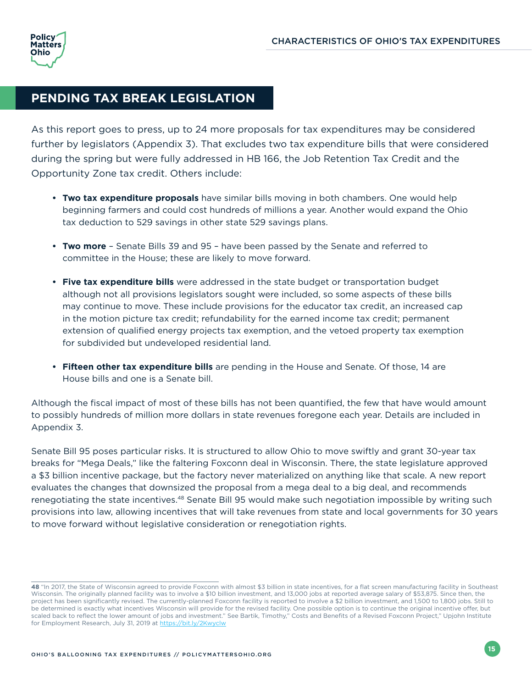## <span id="page-18-0"></span>**PENDING TAX BREAK LEGISLATION**

As this report goes to press, up to 24 more proposals for tax expenditures may be considered further by legislators (Appendix 3). That excludes two tax expenditure bills that were considered during the spring but were fully addressed in HB 166, the Job Retention Tax Credit and the Opportunity Zone tax credit. Others include:

- **• Two tax expenditure proposals** have similar bills moving in both chambers. One would help beginning farmers and could cost hundreds of millions a year. Another would expand the Ohio tax deduction to 529 savings in other state 529 savings plans.
- **• Two more** Senate Bills 39 and 95 have been passed by the Senate and referred to committee in the House; these are likely to move forward.
- **• Five tax expenditure bills** were addressed in the state budget or transportation budget although not all provisions legislators sought were included, so some aspects of these bills may continue to move. These include provisions for the educator tax credit, an increased cap in the motion picture tax credit; refundability for the earned income tax credit; permanent extension of qualified energy projects tax exemption, and the vetoed property tax exemption for subdivided but undeveloped residential land.
- **• Fifteen other tax expenditure bills** are pending in the House and Senate. Of those, 14 are House bills and one is a Senate bill.

Although the fiscal impact of most of these bills has not been quantified, the few that have would amount to possibly hundreds of million more dollars in state revenues foregone each year. Details are included in Appendix 3.

Senate Bill 95 poses particular risks. It is structured to allow Ohio to move swiftly and grant 30-year tax breaks for "Mega Deals," like the faltering Foxconn deal in Wisconsin. There, the state legislature approved a \$3 billion incentive package, but the factory never materialized on anything like that scale. A new report evaluates the changes that downsized the proposal from a mega deal to a big deal, and recommends renegotiating the state incentives.48 Senate Bill 95 would make such negotiation impossible by writing such provisions into law, allowing incentives that will take revenues from state and local governments for 30 years to move forward without legislative consideration or renegotiation rights.

**<sup>48</sup>** "In 2017, the State of Wisconsin agreed to provide Foxconn with almost \$3 billion in state incentives, for a flat screen manufacturing facility in Southeast Wisconsin. The originally planned facility was to involve a \$10 billion investment, and 13,000 jobs at reported average salary of \$53,875. Since then, the project has been significantly revised. The currently-planned Foxconn facility is reported to involve a \$2 billion investment, and 1,500 to 1,800 jobs. Still to be determined is exactly what incentives Wisconsin will provide for the revised facility. One possible option is to continue the original incentive offer, but scaled back to reflect the lower amount of jobs and investment." See Bartik, Timothy," Costs and Benefits of a Revised Foxconn Project," Upjohn Institute for Employment Research, July 31, 2019 at<https://bit.ly/2Kwyclw>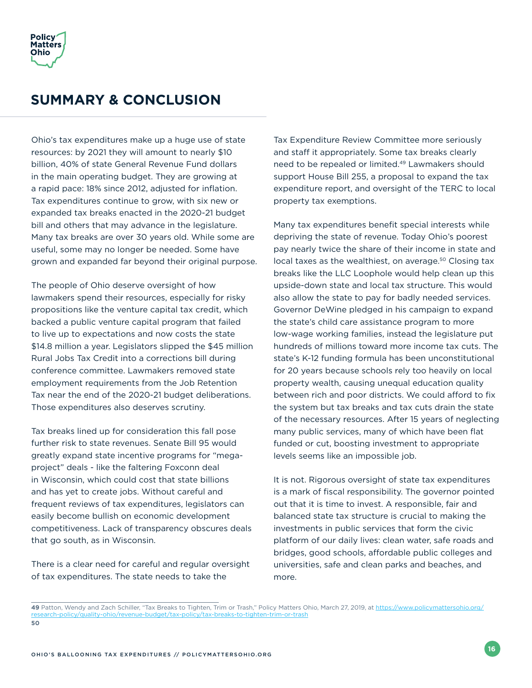<span id="page-19-0"></span>

## **SUMMARY & CONCLUSION**

Ohio's tax expenditures make up a huge use of state resources: by 2021 they will amount to nearly \$10 billion, 40% of state General Revenue Fund dollars in the main operating budget. They are growing at a rapid pace: 18% since 2012, adjusted for inflation. Tax expenditures continue to grow, with six new or expanded tax breaks enacted in the 2020-21 budget bill and others that may advance in the legislature. Many tax breaks are over 30 years old. While some are useful, some may no longer be needed. Some have grown and expanded far beyond their original purpose.

The people of Ohio deserve oversight of how lawmakers spend their resources, especially for risky propositions like the venture capital tax credit, which backed a public venture capital program that failed to live up to expectations and now costs the state \$14.8 million a year. Legislators slipped the \$45 million Rural Jobs Tax Credit into a corrections bill during conference committee. Lawmakers removed state employment requirements from the Job Retention Tax near the end of the 2020-21 budget deliberations. Those expenditures also deserves scrutiny.

Tax breaks lined up for consideration this fall pose further risk to state revenues. Senate Bill 95 would greatly expand state incentive programs for "megaproject" deals - like the faltering Foxconn deal in Wisconsin, which could cost that state billions and has yet to create jobs. Without careful and frequent reviews of tax expenditures, legislators can easily become bullish on economic development competitiveness. Lack of transparency obscures deals that go south, as in Wisconsin.

There is a clear need for careful and regular oversight of tax expenditures. The state needs to take the

Tax Expenditure Review Committee more seriously and staff it appropriately. Some tax breaks clearly need to be repealed or limited.49 Lawmakers should support House Bill 255, a proposal to expand the tax expenditure report, and oversight of the TERC to local property tax exemptions.

Many tax expenditures benefit special interests while depriving the state of revenue. Today Ohio's poorest pay nearly twice the share of their income in state and local taxes as the wealthiest, on average.<sup>50</sup> Closing tax breaks like the LLC Loophole would help clean up this upside-down state and local tax structure. This would also allow the state to pay for badly needed services. Governor DeWine pledged in his campaign to expand the state's child care assistance program to more low-wage working families, instead the legislature put hundreds of millions toward more income tax cuts. The state's K-12 funding formula has been unconstitutional for 20 years because schools rely too heavily on local property wealth, causing unequal education quality between rich and poor districts. We could afford to fix the system but tax breaks and tax cuts drain the state of the necessary resources. After 15 years of neglecting many public services, many of which have been flat funded or cut, boosting investment to appropriate levels seems like an impossible job.

It is not. Rigorous oversight of state tax expenditures is a mark of fiscal responsibility. The governor pointed out that it is time to invest. A responsible, fair and balanced state tax structure is crucial to making the investments in public services that form the civic platform of our daily lives: clean water, safe roads and bridges, good schools, affordable public colleges and universities, safe and clean parks and beaches, and more.

**<sup>49</sup>** Patton, Wendy and Zach Schiller, "Tax Breaks to Tighten, Trim or Trash," Policy Matters Ohio, March 27, 2019, at [https://www.policymattersohio.org/](https://www.policymattersohio.org/research-policy/quality-ohio/revenue-budget/tax-policy/tax-breaks-) [research-policy/quality-ohio/revenue-budget/tax-policy/tax-breaks-to-tighten-trim-or-trash](https://www.policymattersohio.org/research-policy/quality-ohio/revenue-budget/tax-policy/tax-breaks-) **50**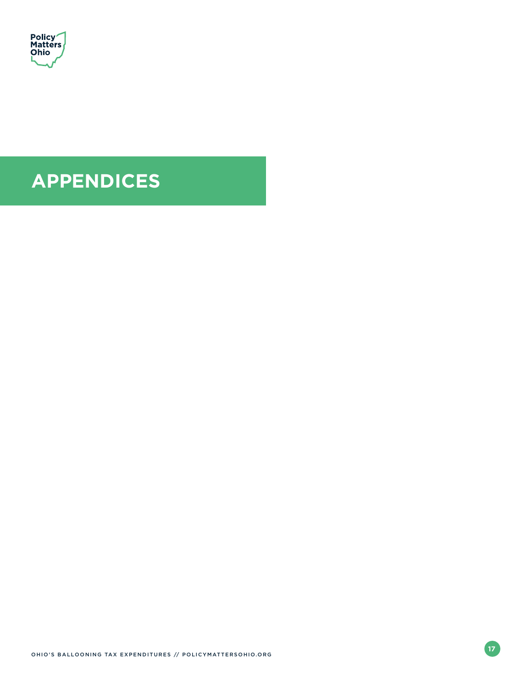<span id="page-20-0"></span>

## **APPENDICES**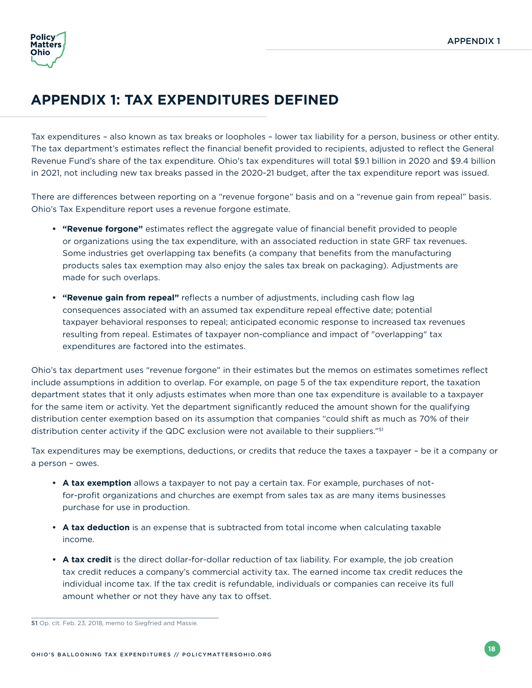

## **APPENDIX 1: TAX EXPENDITURES DEFINED**

Tax expenditures – also known as tax breaks or loopholes – lower tax liability for a person, business or other entity. The tax department's estimates reflect the financial benefit provided to recipients, adjusted to reflect the General Revenue Fund's share of the tax expenditure. Ohio's tax expenditures will total \$9.1 billion in 2020 and \$9.4 billion in 2021, not including new tax breaks passed in the 2020-21 budget, after the tax expenditure report was issued.

There are differences between reporting on a "revenue forgone" basis and on a "revenue gain from repeal" basis. Ohio's Tax Expenditure report uses a revenue forgone estimate.

- **• "Revenue forgone"** estimates reflect the aggregate value of financial benefit provided to people or organizations using the tax expenditure, with an associated reduction in state GRF tax revenues. Some industries get overlapping tax benefits (a company that benefits from the manufacturing products sales tax exemption may also enjoy the sales tax break on packaging). Adjustments are made for such overlaps.
- **• "Revenue gain from repeal"** reflects a number of adjustments, including cash flow lag consequences associated with an assumed tax expenditure repeal effective date; potential taxpayer behavioral responses to repeal; anticipated economic response to increased tax revenues resulting from repeal. Estimates of taxpayer non-compliance and impact of "overlapping" tax expenditures are factored into the estimates.

Ohio's tax department uses "revenue forgone" in their estimates but the memos on estimates sometimes reflect include assumptions in addition to overlap. For example, on page 5 of the tax expenditure report, the taxation department states that it only adjusts estimates when more than one tax expenditure is available to a taxpayer for the same item or activity. Yet the department significantly reduced the amount shown for the qualifying distribution center exemption based on its assumption that companies "could shift as much as 70% of their distribution center activity if the QDC exclusion were not available to their suppliers."<sup>51</sup>

Tax expenditures may be exemptions, deductions, or credits that reduce the taxes a taxpayer – be it a company or a person – owes.

- **• A tax exemption** allows a taxpayer to not pay a certain tax. For example, purchases of notfor-profit organizations and churches are exempt from sales tax as are many items businesses purchase for use in production.
- **• A tax deduction** is an expense that is subtracted from total income when calculating taxable income.
- **• A tax credit** is the direct dollar-for-dollar reduction of tax liability. For example, the job creation tax credit reduces a company's commercial activity tax. The earned income tax credit reduces the individual income tax. If the tax credit is refundable, individuals or companies can receive its full amount whether or not they have any tax to offset.

**<sup>51</sup>** Op. cit. Feb. 23, 2018, memo to Siegfried and Massie.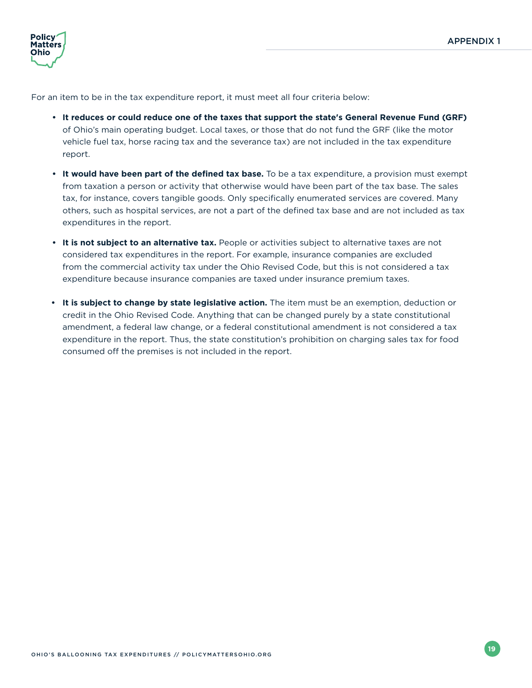

For an item to be in the tax expenditure report, it must meet all four criteria below:

- **• It reduces or could reduce one of the taxes that support the state's General Revenue Fund (GRF)** of Ohio's main operating budget. Local taxes, or those that do not fund the GRF (like the motor vehicle fuel tax, horse racing tax and the severance tax) are not included in the tax expenditure report.
- **• It would have been part of the defined tax base.** To be a tax expenditure, a provision must exempt from taxation a person or activity that otherwise would have been part of the tax base. The sales tax, for instance, covers tangible goods. Only specifically enumerated services are covered. Many others, such as hospital services, are not a part of the defined tax base and are not included as tax expenditures in the report.
- **• It is not subject to an alternative tax.** People or activities subject to alternative taxes are not considered tax expenditures in the report. For example, insurance companies are excluded from the commercial activity tax under the Ohio Revised Code, but this is not considered a tax expenditure because insurance companies are taxed under insurance premium taxes.
- **• It is subject to change by state legislative action.** The item must be an exemption, deduction or credit in the Ohio Revised Code. Anything that can be changed purely by a state constitutional amendment, a federal law change, or a federal constitutional amendment is not considered a tax expenditure in the report. Thus, the state constitution's prohibition on charging sales tax for food consumed off the premises is not included in the report.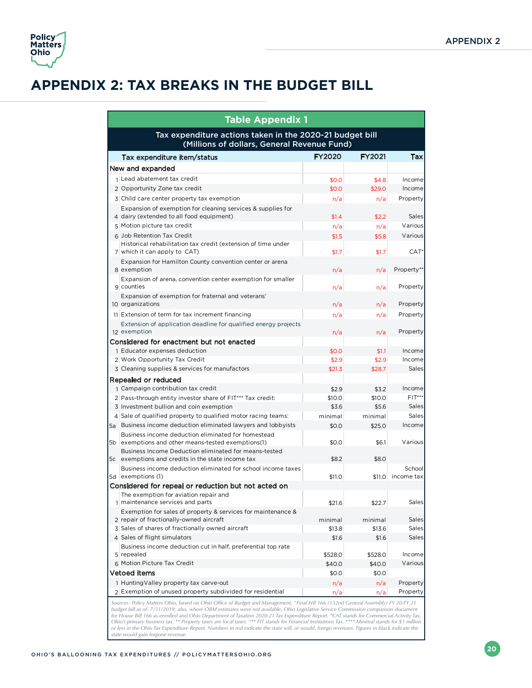

## **APPENDIX 2: TAX BREAKS IN THE BUDGET BILL**

| <b>Table Appendix 1</b>                                                                                    |               |               |                      |  |  |  |  |
|------------------------------------------------------------------------------------------------------------|---------------|---------------|----------------------|--|--|--|--|
| Tax expenditure actions taken in the 2020-21 budget bill<br>(Millions of dollars, General Revenue Fund)    |               |               |                      |  |  |  |  |
| Tax expenditure item/status                                                                                | <b>FY2020</b> | <b>FY2021</b> | Tax                  |  |  |  |  |
| New and expanded                                                                                           |               |               |                      |  |  |  |  |
| $1$ Lead abatement tax credit                                                                              | \$0.0         | \$4.8         | Income               |  |  |  |  |
| 2 Opportunity Zone tax credit                                                                              | \$0.0         | \$29.0        | Income               |  |  |  |  |
| 3 Child care center property tax exemption                                                                 | n/a           | n/a           | Property             |  |  |  |  |
| Expansion of exemption for cleaning services & supplies for<br>4 dairy (extended to all food equipment)    | \$1.4         | \$2.2         | Sales                |  |  |  |  |
| 5 Motion picture tax credit                                                                                | n/a           | n/a           | Various              |  |  |  |  |
| 6 Job Retention Tax Credit                                                                                 | \$1.5         | \$5.8         | Various              |  |  |  |  |
| Historical rehabilitation tax credit (extension of time under<br>7 which it can apply to CAT)              | \$1.7         | \$1.7         | CAT <sup>*</sup>     |  |  |  |  |
| Expansion for Hamilton County convention center or arena<br>8 exemption                                    | n/a           | n/a           | Property**           |  |  |  |  |
| Expansion of arena, convention center exemption for smaller<br>9 counties                                  | n/a           | n/a           | Property             |  |  |  |  |
| Expansion of exemption for fraternal and veterans'<br>10 organizations                                     | n/a           | n/a           | Property             |  |  |  |  |
| 11 Extension of term for tax increment financing                                                           | n/a           | n/a           | Property             |  |  |  |  |
| Extension of application deadline for qualified energy projects<br>12 exemption                            | n/a           | n/a           | Property             |  |  |  |  |
| Considered for enactment but not enacted                                                                   |               |               |                      |  |  |  |  |
| 1 Educator expenses deduction                                                                              | \$0.0         | \$1.1         | Income               |  |  |  |  |
| 2 Work Opportunity Tax Credit                                                                              | \$2.9         | \$2.9         | Income               |  |  |  |  |
| 3 Cleaning supplies & services for manufactors                                                             | \$21.3        | \$28.7        | Sales                |  |  |  |  |
| Repealed or reduced                                                                                        |               |               |                      |  |  |  |  |
| 1 Campaign contribution tax credit                                                                         | \$2.9         | \$3.2         | Income               |  |  |  |  |
| 2 Pass-through entity investor share of FIT*** Tax credit:                                                 | \$10.0        | \$10.0        | $FIT***$             |  |  |  |  |
| 3 Investment bullion and coin exemption                                                                    | \$3.6         | \$5.6         | Sales                |  |  |  |  |
| 4 Sale of qualified property to qualified motor racing teams:                                              | minimal       | minimal       | Sales                |  |  |  |  |
| 5a Business income deduction eliminated lawyers and lobbyists                                              | \$0.0         | \$25.0        | Income               |  |  |  |  |
| Business income deduction eliminated for homestead<br>5b exemptions and other means-tested exemptions(1)   | \$0.0         | \$6.1         | Various              |  |  |  |  |
| Business Income Deduction eliminated for means-tested<br>5c exemptions and credits in the state income tax | \$8.2         | \$8.0         |                      |  |  |  |  |
| Business income deduction eliminated for school income taxes<br>5d exemptions (1)                          | \$11.0        | \$11.0        | School<br>income tax |  |  |  |  |
| Considered for repeal or reduction but not acted on                                                        |               |               |                      |  |  |  |  |
| The exemption for aviation repair and<br>1 maintenance services and parts                                  | \$21.6        | \$22.7        | Sales                |  |  |  |  |
| Exemption for sales of property & services for maintenance &<br>2 repair of fractionally-owned aircraft    | minimal       | minimal       | <b>Sales</b>         |  |  |  |  |
| 3 Sales of shares of fractionally owned aircraft                                                           | \$13.8        | \$13.6        | Sales                |  |  |  |  |
| 4 Sales of flight simulators                                                                               | \$1.6         | \$1.6         | Sales                |  |  |  |  |
| Business income deduction cut in half, preferential top rate<br>5 repealed                                 | \$528.0       | \$528.0       | Income               |  |  |  |  |
| 6 Motion Picture Tax Credit                                                                                | \$40.0        | \$40.0        | Various              |  |  |  |  |
| Vetoed items                                                                                               | \$0.0         | \$0.0         |                      |  |  |  |  |
| 1 Hunting Valley property tax carve-out                                                                    | n/a           | n/a           | Property             |  |  |  |  |
| 2 Exemption of unused property subdivided for residential                                                  | n/a           | n/a           | Property             |  |  |  |  |
|                                                                                                            |               |               |                      |  |  |  |  |

*Sources: Policy Matters Ohio, based on Ohio Office of Budget and Management, "Final HB 166 (132nd General Assembly) FY 20-FY 21*  budget bill as of: 7/31/2019; also, where OBM estimates were not available, Ohio Legislative Service Commission comparison document<br>for House Bill 166 as enrolled and Ohio Department of Taxation 2020-21 Tax Expenditure Rep *or less in the Ohio Tax Expenditure Report. Numbers in red indicate the state will, or would, forego revenues. Figures in black indicate the state would gain forgone revenue.*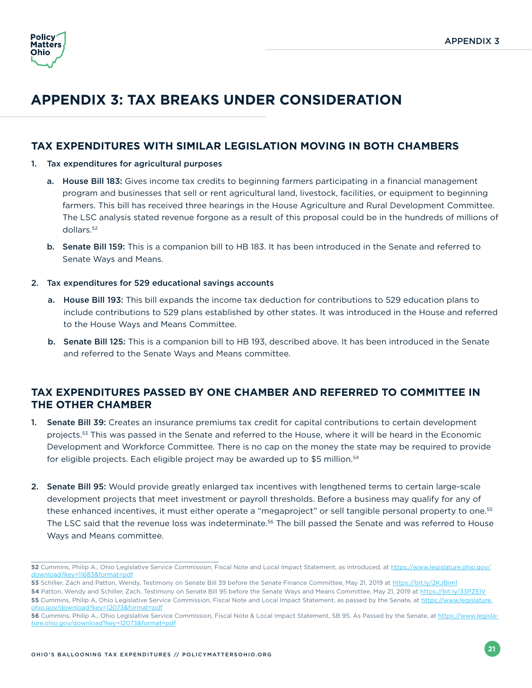

## **APPENDIX 3: TAX BREAKS UNDER CONSIDERATION**

#### **TAX EXPENDITURES WITH SIMILAR LEGISLATION MOVING IN BOTH CHAMBERS**

- 1. Tax expenditures for agricultural purposes
	- a. House Bill 183: Gives income tax credits to beginning farmers participating in a financial management program and businesses that sell or rent agricultural land, livestock, facilities, or equipment to beginning farmers. This bill has received three hearings in the House Agriculture and Rural Development Committee. The LSC analysis stated revenue forgone as a result of this proposal could be in the hundreds of millions of dollars.52
	- b. Senate Bill 159: This is a companion bill to HB 183. It has been introduced in the Senate and referred to Senate Ways and Means.

#### 2. Tax expenditures for 529 educational savings accounts

- a. House Bill 193: This bill expands the income tax deduction for contributions to 529 education plans to include contributions to 529 plans established by other states. It was introduced in the House and referred to the House Ways and Means Committee.
- b. Senate Bill 125: This is a companion bill to HB 193, described above. It has been introduced in the Senate and referred to the Senate Ways and Means committee.

#### **TAX EXPENDITURES PASSED BY ONE CHAMBER AND REFERRED TO COMMITTEE IN THE OTHER CHAMBER**

- 1. Senate Bill 39: Creates an insurance premiums tax credit for capital contributions to certain development projects.<sup>53</sup> This was passed in the Senate and referred to the House, where it will be heard in the Economic Development and Workforce Committee. There is no cap on the money the state may be required to provide for eligible projects. Each eligible project may be awarded up to \$5 million.<sup>54</sup>
- 2. Senate Bill 95: Would provide greatly enlarged tax incentives with lengthened terms to certain large-scale development projects that meet investment or payroll thresholds. Before a business may qualify for any of these enhanced incentives, it must either operate a "megaproject" or sell tangible personal property to one.<sup>55</sup> The LSC said that the revenue loss was indeterminate.<sup>56</sup> The bill passed the Senate and was referred to House Ways and Means committee.

**<sup>52</sup>** Cummins, Philip A., Ohio Legislative Service Commission, Fiscal Note and Local Impact Statement, as introduced, at [https://www.legislature.ohio.gov/](https://www.legislature.ohio.gov/download?key=11683&format=pdf) [download?key=11683&format=pdf](https://www.legislature.ohio.gov/download?key=11683&format=pdf)

<sup>53</sup> Schiller, Zach and Patton, Wendy, Testimony on Senate Bill 39 before the Senate Finance Committee, May 21, 2019 at <https://bit.ly/2KJBim1>

<sup>54</sup> Patton, Wendy and Schiller, Zach, Testimony on Senate Bill 95 before the Senate Ways and Means Committee, May 21, 2019 at <https://bit.ly/33PZElV> **55** Cummins, Philip A, Ohio Legislative Service Commission, Fiscal Note and Local Impact Statement, as passed by the Senate, at [https://www.legislature.](https://www.legislature.ohio.gov/download?key=12073&format=pdf) [ohio.gov/download?key=12073&format=pdf](https://www.legislature.ohio.gov/download?key=12073&format=pdf)

**<sup>56</sup>** Cummins, Philip A., Ohio Legislative Service Commission, Fiscal Note & Local Impact Statement, SB 95, As Passed by the Senate, at [https://www.legisla](https://www.legislature.ohio.gov/download?key=12073&format=pdf)[ture.ohio.gov/download?key=12073&format=pdf](https://www.legislature.ohio.gov/download?key=12073&format=pdf)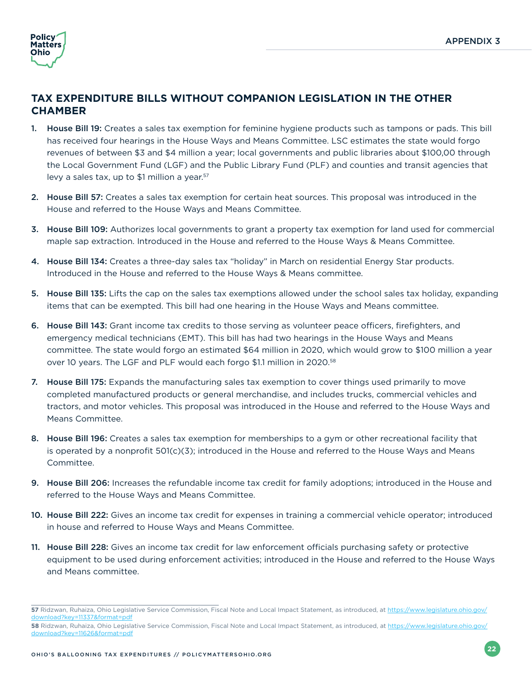

#### **TAX EXPENDITURE BILLS WITHOUT COMPANION LEGISLATION IN THE OTHER CHAMBER**

- 1. House Bill 19: Creates a sales tax exemption for feminine hygiene products such as tampons or pads. This bill has received four hearings in the House Ways and Means Committee. LSC estimates the state would forgo revenues of between \$3 and \$4 million a year; local governments and public libraries about \$100,00 through the Local Government Fund (LGF) and the Public Library Fund (PLF) and counties and transit agencies that levy a sales tax, up to \$1 million a year.<sup>57</sup>
- 2. House Bill 57: Creates a sales tax exemption for certain heat sources. This proposal was introduced in the House and referred to the House Ways and Means Committee.
- 3. House Bill 109: Authorizes local governments to grant a property tax exemption for land used for commercial maple sap extraction. Introduced in the House and referred to the House Ways & Means Committee.
- 4. House Bill 134: Creates a three-day sales tax "holiday" in March on residential Energy Star products. Introduced in the House and referred to the House Ways & Means committee.
- 5. House Bill 135: Lifts the cap on the sales tax exemptions allowed under the school sales tax holiday, expanding items that can be exempted. This bill had one hearing in the House Ways and Means committee.
- 6. House Bill 143: Grant income tax credits to those serving as volunteer peace officers, firefighters, and emergency medical technicians (EMT). This bill has had two hearings in the House Ways and Means committee. The state would forgo an estimated \$64 million in 2020, which would grow to \$100 million a year over 10 years. The LGF and PLF would each forgo \$1.1 million in 2020.58
- 7. House Bill 175: Expands the manufacturing sales tax exemption to cover things used primarily to move completed manufactured products or general merchandise, and includes trucks, commercial vehicles and tractors, and motor vehicles. This proposal was introduced in the House and referred to the House Ways and Means Committee.
- 8. House Bill 196: Creates a sales tax exemption for memberships to a gym or other recreational facility that is operated by a nonprofit 501(c)(3); introduced in the House and referred to the House Ways and Means Committee.
- 9. House Bill 206: Increases the refundable income tax credit for family adoptions; introduced in the House and referred to the House Ways and Means Committee.
- 10. House Bill 222: Gives an income tax credit for expenses in training a commercial vehicle operator; introduced in house and referred to House Ways and Means Committee.
- 11. House Bill 228: Gives an income tax credit for law enforcement officials purchasing safety or protective equipment to be used during enforcement activities; introduced in the House and referred to the House Ways and Means committee.

**<sup>57</sup>** Ridzwan, Ruhaiza, Ohio Legislative Service Commission, Fiscal Note and Local Impact Statement, as introduced, at [https://www.legislature.ohio.gov/](https://www.legislature.ohio.gov/download?key=11337&format=pdf) [download?key=11337&format=pdf](https://www.legislature.ohio.gov/download?key=11337&format=pdf)

**<sup>58</sup>** Ridzwan, Ruhaiza, Ohio Legislative Service Commission, Fiscal Note and Local Impact Statement, as introduced, at [https://www.legislature.ohio.gov/](https://www.legislature.ohio.gov/download?key=11626&format=pdf) [download?key=11626&format=pdf](https://www.legislature.ohio.gov/download?key=11626&format=pdf)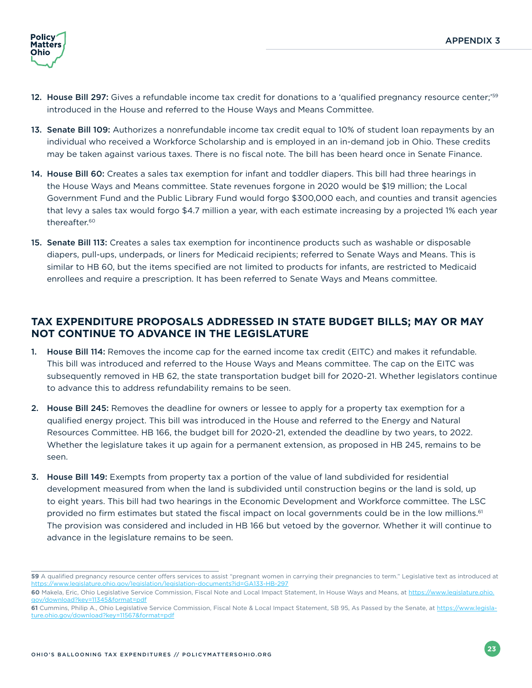

- 12. House Bill 297: Gives a refundable income tax credit for donations to a 'qualified pregnancy resource center;'59 introduced in the House and referred to the House Ways and Means Committee.
- 13. Senate Bill 109: Authorizes a nonrefundable income tax credit equal to 10% of student loan repayments by an individual who received a Workforce Scholarship and is employed in an in-demand job in Ohio. These credits may be taken against various taxes. There is no fiscal note. The bill has been heard once in Senate Finance.
- 14. House Bill 60: Creates a sales tax exemption for infant and toddler diapers. This bill had three hearings in the House Ways and Means committee. State revenues forgone in 2020 would be \$19 million; the Local Government Fund and the Public Library Fund would forgo \$300,000 each, and counties and transit agencies that levy a sales tax would forgo \$4.7 million a year, with each estimate increasing by a projected 1% each year thereafter.60
- 15. Senate Bill 113: Creates a sales tax exemption for incontinence products such as washable or disposable diapers, pull-ups, underpads, or liners for Medicaid recipients; referred to Senate Ways and Means. This is similar to HB 60, but the items specified are not limited to products for infants, are restricted to Medicaid enrollees and require a prescription. It has been referred to Senate Ways and Means committee.

#### **TAX EXPENDITURE PROPOSALS ADDRESSED IN STATE BUDGET BILLS; MAY OR MAY NOT CONTINUE TO ADVANCE IN THE LEGISLATURE**

- 1. House Bill 114: Removes the income cap for the earned income tax credit (EITC) and makes it refundable. This bill was introduced and referred to the House Ways and Means committee. The cap on the EITC was subsequently removed in HB 62, the state transportation budget bill for 2020-21. Whether legislators continue to advance this to address refundability remains to be seen.
- 2. House Bill 245: Removes the deadline for owners or lessee to apply for a property tax exemption for a qualified energy project. This bill was introduced in the House and referred to the Energy and Natural Resources Committee. HB 166, the budget bill for 2020-21, extended the deadline by two years, to 2022. Whether the legislature takes it up again for a permanent extension, as proposed in HB 245, remains to be seen.
- 3. House Bill 149: Exempts from property tax a portion of the value of land subdivided for residential development measured from when the land is subdivided until construction begins or the land is sold, up to eight years. This bill had two hearings in the Economic Development and Workforce committee. The LSC provided no firm estimates but stated the fiscal impact on local governments could be in the low millions.<sup>61</sup> The provision was considered and included in HB 166 but vetoed by the governor. Whether it will continue to advance in the legislature remains to be seen.

<sup>59</sup> A qualified pregnancy resource center offers services to assist "pregnant women in carrying their pregnancies to term." Legislative text as introduced at <https://www.legislature.ohio.gov/legislation/legislation-documents?id=GA133-HB-297>

**<sup>60</sup>** Makela, Eric, Ohio Legislative Service Commission, Fiscal Note and Local Impact Statement, In House Ways and Means, at [https://www.legislature.ohio.](https://www.legislature.ohio.gov/download?key=11345&format=pdf) [gov/download?key=11345&format=pdf](https://www.legislature.ohio.gov/download?key=11345&format=pdf)

**<sup>61</sup>** Cummins, Philip A., Ohio Legislative Service Commission, Fiscal Note & Local Impact Statement, SB 95, As Passed by the Senate, at [https://www.legisla](https://www.legislature.ohio.gov/download?key=11567&format=pdf)[ture.ohio.gov/download?key=11567&format=pdf](https://www.legislature.ohio.gov/download?key=11567&format=pdf)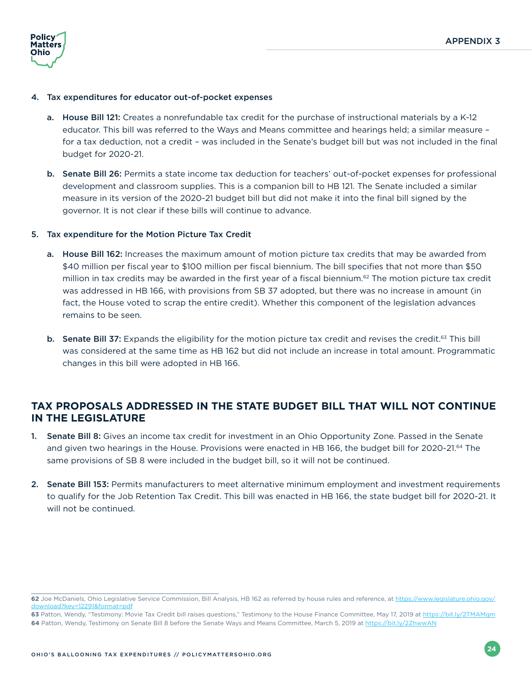

#### 4. Tax expenditures for educator out-of-pocket expenses

- a. House Bill 121: Creates a nonrefundable tax credit for the purchase of instructional materials by a K-12 educator. This bill was referred to the Ways and Means committee and hearings held; a similar measure – for a tax deduction, not a credit – was included in the Senate's budget bill but was not included in the final budget for 2020-21.
- b. Senate Bill 26: Permits a state income tax deduction for teachers' out-of-pocket expenses for professional development and classroom supplies. This is a companion bill to HB 121. The Senate included a similar measure in its version of the 2020-21 budget bill but did not make it into the final bill signed by the governor. It is not clear if these bills will continue to advance.

#### 5. Tax expenditure for the Motion Picture Tax Credit

- a. House Bill 162: Increases the maximum amount of motion picture tax credits that may be awarded from \$40 million per fiscal year to \$100 million per fiscal biennium. The bill specifies that not more than \$50 million in tax credits may be awarded in the first year of a fiscal biennium.<sup>62</sup> The motion picture tax credit was addressed in HB 166, with provisions from SB 37 adopted, but there was no increase in amount (in fact, the House voted to scrap the entire credit). Whether this component of the legislation advances remains to be seen.
- **b.** Senate Bill 37: Expands the eligibility for the motion picture tax credit and revises the credit.<sup>63</sup> This bill was considered at the same time as HB 162 but did not include an increase in total amount. Programmatic changes in this bill were adopted in HB 166.

#### **TAX PROPOSALS ADDRESSED IN THE STATE BUDGET BILL THAT WILL NOT CONTINUE IN THE LEGISLATURE**

- 1. Senate Bill 8: Gives an income tax credit for investment in an Ohio Opportunity Zone. Passed in the Senate and given two hearings in the House. Provisions were enacted in HB 166, the budget bill for 2020-21.<sup>64</sup> The same provisions of SB 8 were included in the budget bill, so it will not be continued.
- 2. Senate Bill 153: Permits manufacturers to meet alternative minimum employment and investment requirements to qualify for the Job Retention Tax Credit. This bill was enacted in HB 166, the state budget bill for 2020-21. It will not be continued.

63 Patton, Wendy, "Testimony: Movie Tax Credit bill raises questions," Testimony to the House Finance Committee, May 17, 2019 at <https://bit.ly/2TMAMqm> **64** Patton, Wendy, Testimony on Senate Bill 8 before the Senate Ways and Means Committee, March 5, 2019 at <https://bit.ly/2ZhwwAN>

<sup>62</sup> Joe McDaniels, Ohio Legislative Service Commission, Bill Analysis, HB 162 as referred by house rules and reference, at [https://www.legislature.ohio.gov/](https://www.legislature.ohio.gov/download?key=12291&format=pdf) [download?key=12291&format=pdf](https://www.legislature.ohio.gov/download?key=12291&format=pdf)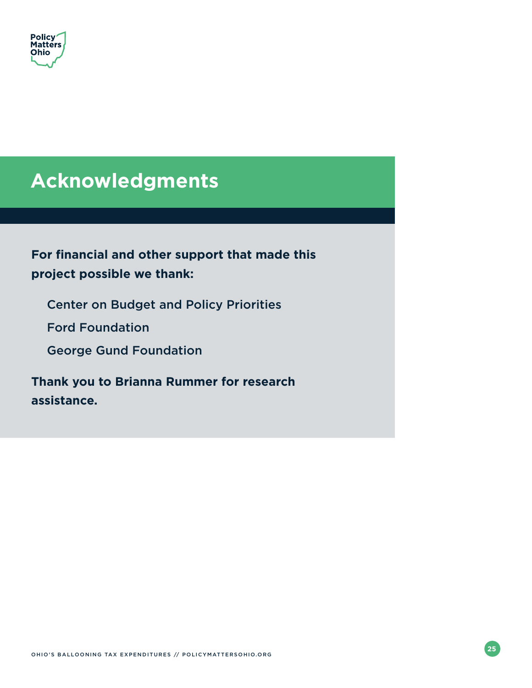<span id="page-28-0"></span>

## **Acknowledgments**

## **For financial and other support that made this project possible we thank:**

Center on Budget and Policy Priorities

Ford Foundation

George Gund Foundation

**Thank you to Brianna Rummer for research assistance.**